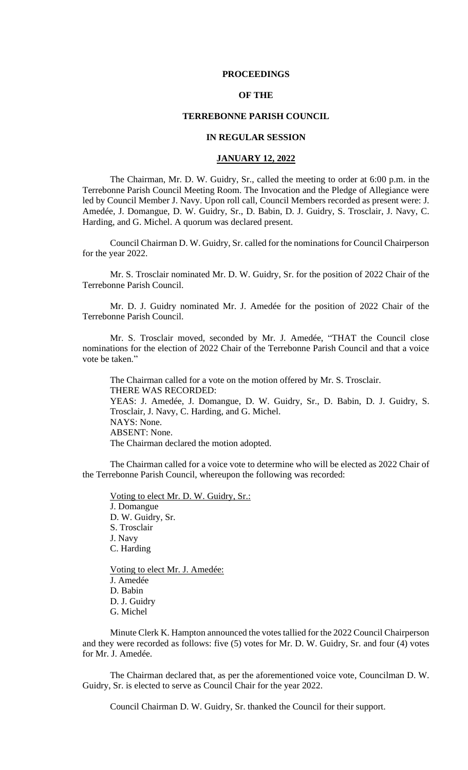#### **PROCEEDINGS**

### **OF THE**

## **TERREBONNE PARISH COUNCIL**

## **IN REGULAR SESSION**

#### **JANUARY 12, 2022**

The Chairman, Mr. D. W. Guidry, Sr., called the meeting to order at 6:00 p.m. in the Terrebonne Parish Council Meeting Room. The Invocation and the Pledge of Allegiance were led by Council Member J. Navy. Upon roll call, Council Members recorded as present were: J. Amedée, J. Domangue, D. W. Guidry, Sr., D. Babin, D. J. Guidry, S. Trosclair, J. Navy, C. Harding, and G. Michel. A quorum was declared present.

Council Chairman D. W. Guidry, Sr. called for the nominations for Council Chairperson for the year 2022.

Mr. S. Trosclair nominated Mr. D. W. Guidry, Sr. for the position of 2022 Chair of the Terrebonne Parish Council.

Mr. D. J. Guidry nominated Mr. J. Amedée for the position of 2022 Chair of the Terrebonne Parish Council.

Mr. S. Trosclair moved, seconded by Mr. J. Amedée, "THAT the Council close nominations for the election of 2022 Chair of the Terrebonne Parish Council and that a voice vote be taken."

The Chairman called for a vote on the motion offered by Mr. S. Trosclair. THERE WAS RECORDED: YEAS: J. Amedée, J. Domangue, D. W. Guidry, Sr., D. Babin, D. J. Guidry, S. Trosclair, J. Navy, C. Harding, and G. Michel. NAYS: None. ABSENT: None. The Chairman declared the motion adopted.

The Chairman called for a voice vote to determine who will be elected as 2022 Chair of the Terrebonne Parish Council, whereupon the following was recorded:

Voting to elect Mr. D. W. Guidry, Sr.: J. Domangue D. W. Guidry, Sr. S. Trosclair J. Navy C. Harding Voting to elect Mr. J. Amedée:

J. Amedée D. Babin D. J. Guidry G. Michel

Minute Clerk K. Hampton announced the votes tallied for the 2022 Council Chairperson and they were recorded as follows: five (5) votes for Mr. D. W. Guidry, Sr. and four (4) votes for Mr. J. Amedée.

The Chairman declared that, as per the aforementioned voice vote, Councilman D. W. Guidry, Sr. is elected to serve as Council Chair for the year 2022.

Council Chairman D. W. Guidry, Sr. thanked the Council for their support.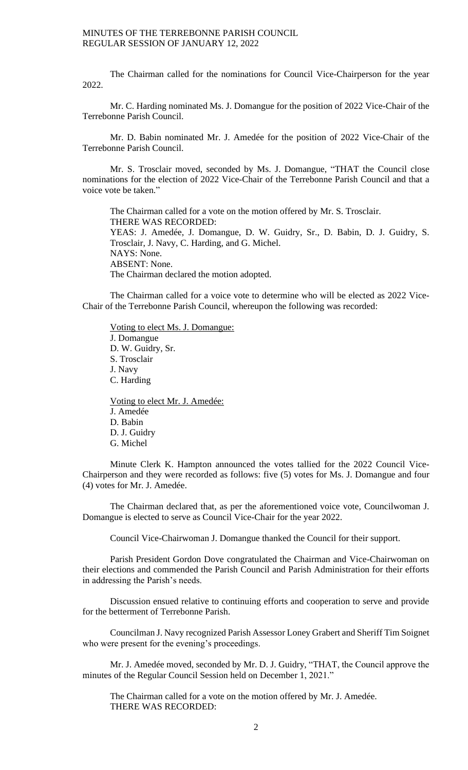The Chairman called for the nominations for Council Vice-Chairperson for the year 2022.

Mr. C. Harding nominated Ms. J. Domangue for the position of 2022 Vice-Chair of the Terrebonne Parish Council.

Mr. D. Babin nominated Mr. J. Amedée for the position of 2022 Vice-Chair of the Terrebonne Parish Council.

Mr. S. Trosclair moved, seconded by Ms. J. Domangue, "THAT the Council close nominations for the election of 2022 Vice-Chair of the Terrebonne Parish Council and that a voice vote be taken."

The Chairman called for a vote on the motion offered by Mr. S. Trosclair. THERE WAS RECORDED: YEAS: J. Amedée, J. Domangue, D. W. Guidry, Sr., D. Babin, D. J. Guidry, S. Trosclair, J. Navy, C. Harding, and G. Michel. NAYS: None. ABSENT: None. The Chairman declared the motion adopted.

The Chairman called for a voice vote to determine who will be elected as 2022 Vice-Chair of the Terrebonne Parish Council, whereupon the following was recorded:

Voting to elect Ms. J. Domangue: J. Domangue D. W. Guidry, Sr. S. Trosclair J. Navy C. Harding Voting to elect Mr. J. Amedée: J. Amedée D. Babin D. J. Guidry

G. Michel

Minute Clerk K. Hampton announced the votes tallied for the 2022 Council Vice-Chairperson and they were recorded as follows: five (5) votes for Ms. J. Domangue and four (4) votes for Mr. J. Amedée.

The Chairman declared that, as per the aforementioned voice vote, Councilwoman J. Domangue is elected to serve as Council Vice-Chair for the year 2022.

Council Vice-Chairwoman J. Domangue thanked the Council for their support.

Parish President Gordon Dove congratulated the Chairman and Vice-Chairwoman on their elections and commended the Parish Council and Parish Administration for their efforts in addressing the Parish's needs.

Discussion ensued relative to continuing efforts and cooperation to serve and provide for the betterment of Terrebonne Parish.

Councilman J. Navy recognized Parish Assessor Loney Grabert and Sheriff Tim Soignet who were present for the evening's proceedings.

Mr. J. Amedée moved, seconded by Mr. D. J. Guidry, "THAT, the Council approve the minutes of the Regular Council Session held on December 1, 2021."

The Chairman called for a vote on the motion offered by Mr. J. Amedée. THERE WAS RECORDED: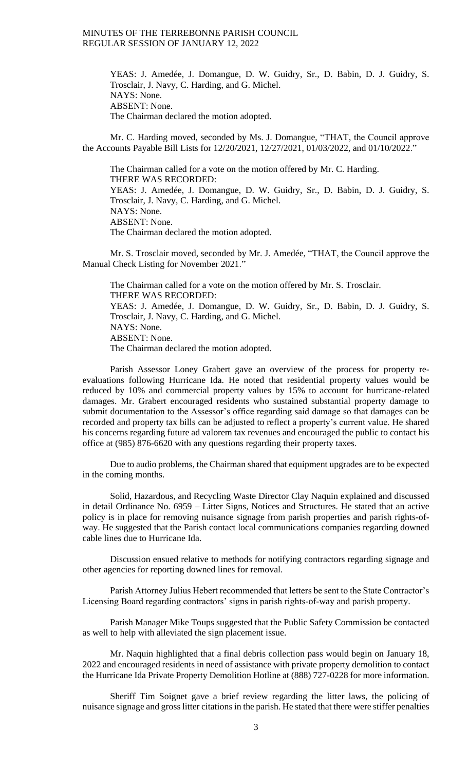> YEAS: J. Amedée, J. Domangue, D. W. Guidry, Sr., D. Babin, D. J. Guidry, S. Trosclair, J. Navy, C. Harding, and G. Michel. NAYS: None. ABSENT: None. The Chairman declared the motion adopted.

Mr. C. Harding moved, seconded by Ms. J. Domangue, "THAT, the Council approve the Accounts Payable Bill Lists for 12/20/2021, 12/27/2021, 01/03/2022, and 01/10/2022."

The Chairman called for a vote on the motion offered by Mr. C. Harding. THERE WAS RECORDED: YEAS: J. Amedée, J. Domangue, D. W. Guidry, Sr., D. Babin, D. J. Guidry, S. Trosclair, J. Navy, C. Harding, and G. Michel. NAYS: None. ABSENT: None. The Chairman declared the motion adopted.

Mr. S. Trosclair moved, seconded by Mr. J. Amedée, "THAT, the Council approve the Manual Check Listing for November 2021."

The Chairman called for a vote on the motion offered by Mr. S. Trosclair. THERE WAS RECORDED: YEAS: J. Amedée, J. Domangue, D. W. Guidry, Sr., D. Babin, D. J. Guidry, S. Trosclair, J. Navy, C. Harding, and G. Michel. NAYS: None. ABSENT: None. The Chairman declared the motion adopted.

Parish Assessor Loney Grabert gave an overview of the process for property reevaluations following Hurricane Ida. He noted that residential property values would be reduced by 10% and commercial property values by 15% to account for hurricane-related damages. Mr. Grabert encouraged residents who sustained substantial property damage to submit documentation to the Assessor's office regarding said damage so that damages can be recorded and property tax bills can be adjusted to reflect a property's current value. He shared his concerns regarding future ad valorem tax revenues and encouraged the public to contact his office at (985) 876-6620 with any questions regarding their property taxes.

Due to audio problems, the Chairman shared that equipment upgrades are to be expected in the coming months.

Solid, Hazardous, and Recycling Waste Director Clay Naquin explained and discussed in detail Ordinance No. 6959 – Litter Signs, Notices and Structures. He stated that an active policy is in place for removing nuisance signage from parish properties and parish rights-ofway. He suggested that the Parish contact local communications companies regarding downed cable lines due to Hurricane Ida.

Discussion ensued relative to methods for notifying contractors regarding signage and other agencies for reporting downed lines for removal.

Parish Attorney Julius Hebert recommended that letters be sent to the State Contractor's Licensing Board regarding contractors' signs in parish rights-of-way and parish property.

Parish Manager Mike Toups suggested that the Public Safety Commission be contacted as well to help with alleviated the sign placement issue.

Mr. Naquin highlighted that a final debris collection pass would begin on January 18, 2022 and encouraged residents in need of assistance with private property demolition to contact the Hurricane Ida Private Property Demolition Hotline at (888) 727-0228 for more information.

Sheriff Tim Soignet gave a brief review regarding the litter laws, the policing of nuisance signage and gross litter citations in the parish. He stated that there were stiffer penalties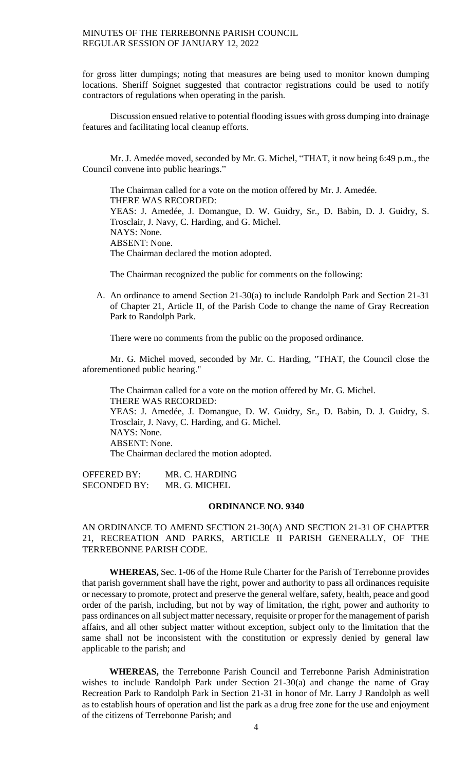for gross litter dumpings; noting that measures are being used to monitor known dumping locations. Sheriff Soignet suggested that contractor registrations could be used to notify contractors of regulations when operating in the parish.

Discussion ensued relative to potential flooding issues with gross dumping into drainage features and facilitating local cleanup efforts.

Mr. J. Amedée moved, seconded by Mr. G. Michel, "THAT, it now being 6:49 p.m., the Council convene into public hearings."

The Chairman called for a vote on the motion offered by Mr. J. Amedée. THERE WAS RECORDED: YEAS: J. Amedée, J. Domangue, D. W. Guidry, Sr., D. Babin, D. J. Guidry, S. Trosclair, J. Navy, C. Harding, and G. Michel. NAYS: None. ABSENT: None. The Chairman declared the motion adopted.

The Chairman recognized the public for comments on the following:

A. An ordinance to amend Section 21-30(a) to include Randolph Park and Section 21-31 of Chapter 21, Article II, of the Parish Code to change the name of Gray Recreation Park to Randolph Park.

There were no comments from the public on the proposed ordinance.

Mr. G. Michel moved, seconded by Mr. C. Harding, "THAT, the Council close the aforementioned public hearing."

The Chairman called for a vote on the motion offered by Mr. G. Michel. THERE WAS RECORDED: YEAS: J. Amedée, J. Domangue, D. W. Guidry, Sr., D. Babin, D. J. Guidry, S. Trosclair, J. Navy, C. Harding, and G. Michel. NAYS: None. ABSENT: None. The Chairman declared the motion adopted.

OFFERED BY: MR. C. HARDING SECONDED BY: MR. G. MICHEL

#### **ORDINANCE NO. 9340**

# AN ORDINANCE TO AMEND SECTION 21-30(A) AND SECTION 21-31 OF CHAPTER 21, RECREATION AND PARKS, ARTICLE II PARISH GENERALLY, OF THE TERREBONNE PARISH CODE.

**WHEREAS,** Sec. 1-06 of the Home Rule Charter for the Parish of Terrebonne provides that parish government shall have the right, power and authority to pass all ordinances requisite or necessary to promote, protect and preserve the general welfare, safety, health, peace and good order of the parish, including, but not by way of limitation, the right, power and authority to pass ordinances on all subject matter necessary, requisite or proper for the management of parish affairs, and all other subject matter without exception, subject only to the limitation that the same shall not be inconsistent with the constitution or expressly denied by general law applicable to the parish; and

**WHEREAS,** the Terrebonne Parish Council and Terrebonne Parish Administration wishes to include Randolph Park under Section 21-30(a) and change the name of Gray Recreation Park to Randolph Park in Section 21-31 in honor of Mr. Larry J Randolph as well as to establish hours of operation and list the park as a drug free zone for the use and enjoyment of the citizens of Terrebonne Parish; and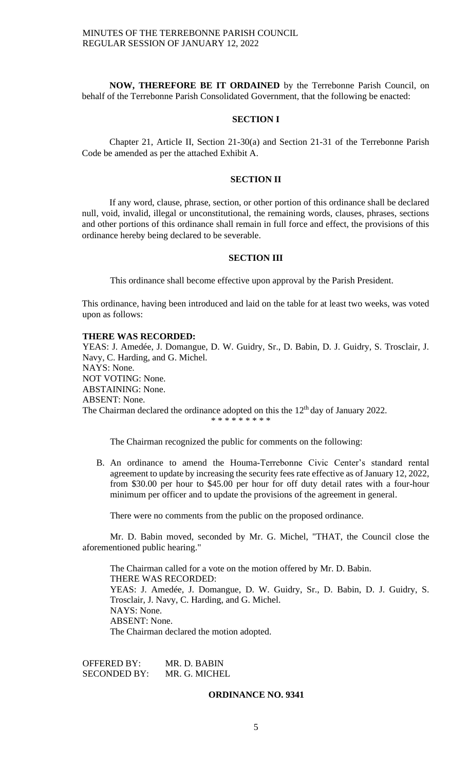**NOW, THEREFORE BE IT ORDAINED** by the Terrebonne Parish Council, on behalf of the Terrebonne Parish Consolidated Government, that the following be enacted:

## **SECTION I**

Chapter 21, Article II, Section 21-30(a) and Section 21-31 of the Terrebonne Parish Code be amended as per the attached Exhibit A.

### **SECTION II**

If any word, clause, phrase, section, or other portion of this ordinance shall be declared null, void, invalid, illegal or unconstitutional, the remaining words, clauses, phrases, sections and other portions of this ordinance shall remain in full force and effect, the provisions of this ordinance hereby being declared to be severable.

### **SECTION III**

This ordinance shall become effective upon approval by the Parish President.

This ordinance, having been introduced and laid on the table for at least two weeks, was voted upon as follows:

### **THERE WAS RECORDED:**

YEAS: J. Amedée, J. Domangue, D. W. Guidry, Sr., D. Babin, D. J. Guidry, S. Trosclair, J. Navy, C. Harding, and G. Michel. NAYS: None. NOT VOTING: None. ABSTAINING: None. ABSENT: None. The Chairman declared the ordinance adopted on this the  $12<sup>th</sup>$  day of January 2022. \* \* \* \* \* \* \* \*

The Chairman recognized the public for comments on the following:

B. An ordinance to amend the Houma-Terrebonne Civic Center's standard rental agreement to update by increasing the security fees rate effective as of January 12, 2022, from \$30.00 per hour to \$45.00 per hour for off duty detail rates with a four-hour minimum per officer and to update the provisions of the agreement in general.

There were no comments from the public on the proposed ordinance.

Mr. D. Babin moved, seconded by Mr. G. Michel, "THAT, the Council close the aforementioned public hearing."

The Chairman called for a vote on the motion offered by Mr. D. Babin. THERE WAS RECORDED: YEAS: J. Amedée, J. Domangue, D. W. Guidry, Sr., D. Babin, D. J. Guidry, S. Trosclair, J. Navy, C. Harding, and G. Michel. NAYS: None. ABSENT: None. The Chairman declared the motion adopted.

OFFERED BY: MR. D. BABIN SECONDED BY: MR. G. MICHEL

#### **ORDINANCE NO. 9341**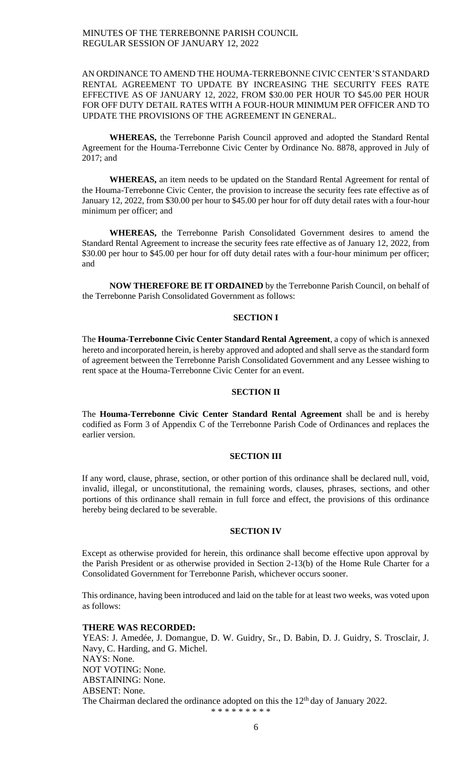## AN ORDINANCE TO AMEND THE HOUMA-TERREBONNE CIVIC CENTER'S STANDARD RENTAL AGREEMENT TO UPDATE BY INCREASING THE SECURITY FEES RATE EFFECTIVE AS OF JANUARY 12, 2022, FROM \$30.00 PER HOUR TO \$45.00 PER HOUR FOR OFF DUTY DETAIL RATES WITH A FOUR-HOUR MINIMUM PER OFFICER AND TO UPDATE THE PROVISIONS OF THE AGREEMENT IN GENERAL.

**WHEREAS,** the Terrebonne Parish Council approved and adopted the Standard Rental Agreement for the Houma-Terrebonne Civic Center by Ordinance No. 8878, approved in July of 2017; and

**WHEREAS,** an item needs to be updated on the Standard Rental Agreement for rental of the Houma-Terrebonne Civic Center, the provision to increase the security fees rate effective as of January 12, 2022, from \$30.00 per hour to \$45.00 per hour for off duty detail rates with a four-hour minimum per officer; and

**WHEREAS,** the Terrebonne Parish Consolidated Government desires to amend the Standard Rental Agreement to increase the security fees rate effective as of January 12, 2022, from \$30.00 per hour to \$45.00 per hour for off duty detail rates with a four-hour minimum per officer; and

**NOW THEREFORE BE IT ORDAINED** by the Terrebonne Parish Council, on behalf of the Terrebonne Parish Consolidated Government as follows:

# **SECTION I**

The **Houma-Terrebonne Civic Center Standard Rental Agreement**, a copy of which is annexed hereto and incorporated herein, is hereby approved and adopted and shall serve as the standard form of agreement between the Terrebonne Parish Consolidated Government and any Lessee wishing to rent space at the Houma-Terrebonne Civic Center for an event.

#### **SECTION II**

The **Houma-Terrebonne Civic Center Standard Rental Agreement** shall be and is hereby codified as Form 3 of Appendix C of the Terrebonne Parish Code of Ordinances and replaces the earlier version.

### **SECTION III**

If any word, clause, phrase, section, or other portion of this ordinance shall be declared null, void, invalid, illegal, or unconstitutional, the remaining words, clauses, phrases, sections, and other portions of this ordinance shall remain in full force and effect, the provisions of this ordinance hereby being declared to be severable.

### **SECTION IV**

Except as otherwise provided for herein, this ordinance shall become effective upon approval by the Parish President or as otherwise provided in Section 2-13(b) of the Home Rule Charter for a Consolidated Government for Terrebonne Parish, whichever occurs sooner.

This ordinance, having been introduced and laid on the table for at least two weeks, was voted upon as follows:

### **THERE WAS RECORDED:**

YEAS: J. Amedée, J. Domangue, D. W. Guidry, Sr., D. Babin, D. J. Guidry, S. Trosclair, J. Navy, C. Harding, and G. Michel. NAYS: None. NOT VOTING: None. ABSTAINING: None. ABSENT: None. The Chairman declared the ordinance adopted on this the  $12<sup>th</sup>$  day of January 2022. \* \* \* \* \* \* \* \*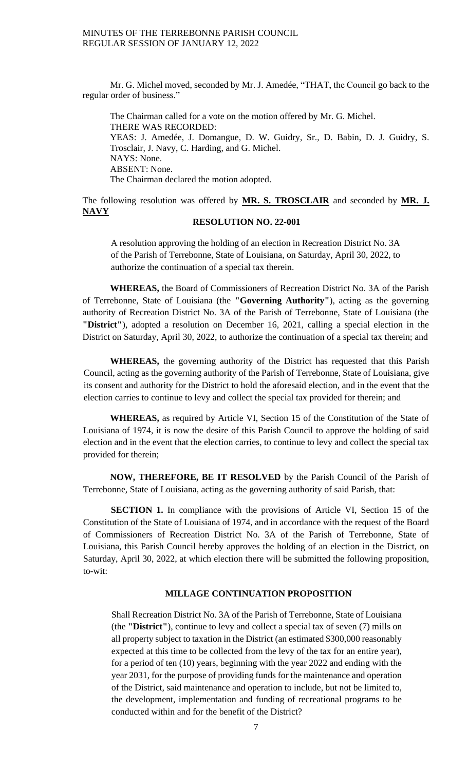Mr. G. Michel moved, seconded by Mr. J. Amedée, "THAT, the Council go back to the regular order of business."

The Chairman called for a vote on the motion offered by Mr. G. Michel. THERE WAS RECORDED: YEAS: J. Amedée, J. Domangue, D. W. Guidry, Sr., D. Babin, D. J. Guidry, S. Trosclair, J. Navy, C. Harding, and G. Michel. NAYS: None. ABSENT: None. The Chairman declared the motion adopted.

The following resolution was offered by **MR. S. TROSCLAIR** and seconded by **MR. J. NAVY**

## **RESOLUTION NO. 22-001**

A resolution approving the holding of an election in Recreation District No. 3A of the Parish of Terrebonne, State of Louisiana, on Saturday, April 30, 2022, to authorize the continuation of a special tax therein.

**WHEREAS,** the Board of Commissioners of Recreation District No. 3A of the Parish of Terrebonne, State of Louisiana (the **"Governing Authority"**), acting as the governing authority of Recreation District No. 3A of the Parish of Terrebonne, State of Louisiana (the **"District"**), adopted a resolution on December 16, 2021, calling a special election in the District on Saturday, April 30, 2022, to authorize the continuation of a special tax therein; and

**WHEREAS,** the governing authority of the District has requested that this Parish Council, acting as the governing authority of the Parish of Terrebonne, State of Louisiana, give its consent and authority for the District to hold the aforesaid election, and in the event that the election carries to continue to levy and collect the special tax provided for therein; and

**WHEREAS,** as required by Article VI, Section 15 of the Constitution of the State of Louisiana of 1974, it is now the desire of this Parish Council to approve the holding of said election and in the event that the election carries, to continue to levy and collect the special tax provided for therein;

**NOW, THEREFORE, BE IT RESOLVED** by the Parish Council of the Parish of Terrebonne, State of Louisiana, acting as the governing authority of said Parish, that:

**SECTION 1.** In compliance with the provisions of Article VI, Section 15 of the Constitution of the State of Louisiana of 1974, and in accordance with the request of the Board of Commissioners of Recreation District No. 3A of the Parish of Terrebonne, State of Louisiana, this Parish Council hereby approves the holding of an election in the District, on Saturday, April 30, 2022, at which election there will be submitted the following proposition, to-wit:

## **MILLAGE CONTINUATION PROPOSITION**

Shall Recreation District No. 3A of the Parish of Terrebonne, State of Louisiana (the **"District"**), continue to levy and collect a special tax of seven (7) mills on all property subject to taxation in the District (an estimated \$300,000 reasonably expected at this time to be collected from the levy of the tax for an entire year), for a period of ten (10) years, beginning with the year 2022 and ending with the year 2031, for the purpose of providing funds for the maintenance and operation of the District, said maintenance and operation to include, but not be limited to, the development, implementation and funding of recreational programs to be conducted within and for the benefit of the District?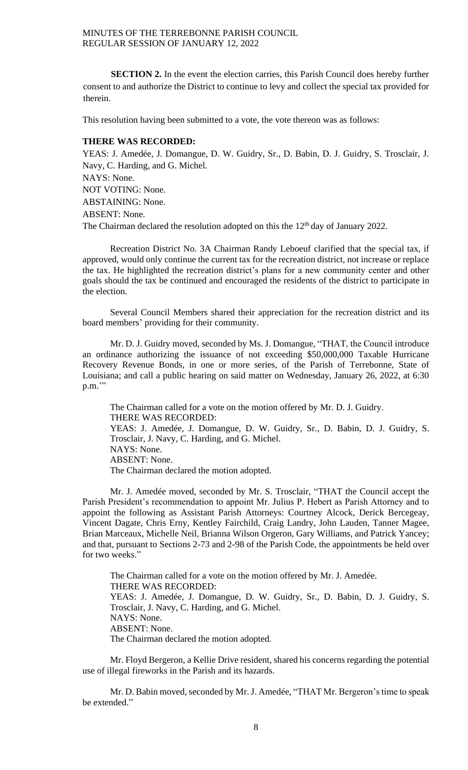**SECTION 2.** In the event the election carries, this Parish Council does hereby further consent to and authorize the District to continue to levy and collect the special tax provided for therein.

This resolution having been submitted to a vote, the vote thereon was as follows:

## **THERE WAS RECORDED:**

YEAS: J. Amedée, J. Domangue, D. W. Guidry, Sr., D. Babin, D. J. Guidry, S. Trosclair, J. Navy, C. Harding, and G. Michel. NAYS: None. NOT VOTING: None. ABSTAINING: None. ABSENT: None. The Chairman declared the resolution adopted on this the  $12<sup>th</sup>$  day of January 2022.

Recreation District No. 3A Chairman Randy Leboeuf clarified that the special tax, if approved, would only continue the current tax for the recreation district, not increase or replace the tax. He highlighted the recreation district's plans for a new community center and other goals should the tax be continued and encouraged the residents of the district to participate in the election.

Several Council Members shared their appreciation for the recreation district and its board members' providing for their community.

Mr. D. J. Guidry moved, seconded by Ms. J. Domangue, "THAT, the Council introduce an ordinance authorizing the issuance of not exceeding \$50,000,000 Taxable Hurricane Recovery Revenue Bonds, in one or more series, of the Parish of Terrebonne, State of Louisiana; and call a public hearing on said matter on Wednesday, January 26, 2022, at 6:30 p.m."

The Chairman called for a vote on the motion offered by Mr. D. J. Guidry. THERE WAS RECORDED: YEAS: J. Amedée, J. Domangue, D. W. Guidry, Sr., D. Babin, D. J. Guidry, S. Trosclair, J. Navy, C. Harding, and G. Michel. NAYS: None. ABSENT: None. The Chairman declared the motion adopted.

Mr. J. Amedée moved, seconded by Mr. S. Trosclair, "THAT the Council accept the Parish President's recommendation to appoint Mr. Julius P. Hebert as Parish Attorney and to appoint the following as Assistant Parish Attorneys: Courtney Alcock, Derick Bercegeay, Vincent Dagate, Chris Erny, Kentley Fairchild, Craig Landry, John Lauden, Tanner Magee, Brian Marceaux, Michelle Neil, Brianna Wilson Orgeron, Gary Williams, and Patrick Yancey; and that, pursuant to Sections 2-73 and 2-98 of the Parish Code, the appointments be held over for two weeks."

The Chairman called for a vote on the motion offered by Mr. J. Amedée. THERE WAS RECORDED: YEAS: J. Amedée, J. Domangue, D. W. Guidry, Sr., D. Babin, D. J. Guidry, S. Trosclair, J. Navy, C. Harding, and G. Michel. NAYS: None. ABSENT: None. The Chairman declared the motion adopted.

Mr. Floyd Bergeron, a Kellie Drive resident, shared his concerns regarding the potential use of illegal fireworks in the Parish and its hazards.

Mr. D. Babin moved, seconded by Mr. J. Amedée, "THAT Mr. Bergeron's time to speak be extended."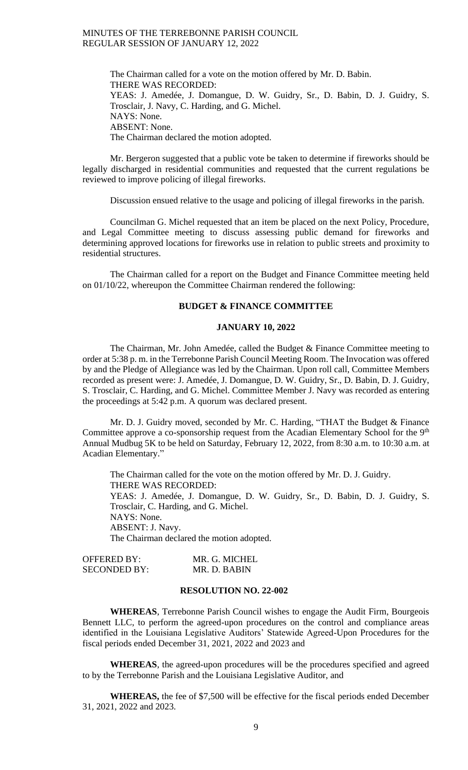The Chairman called for a vote on the motion offered by Mr. D. Babin. THERE WAS RECORDED: YEAS: J. Amedée, J. Domangue, D. W. Guidry, Sr., D. Babin, D. J. Guidry, S. Trosclair, J. Navy, C. Harding, and G. Michel. NAYS: None. ABSENT: None. The Chairman declared the motion adopted.

Mr. Bergeron suggested that a public vote be taken to determine if fireworks should be legally discharged in residential communities and requested that the current regulations be reviewed to improve policing of illegal fireworks.

Discussion ensued relative to the usage and policing of illegal fireworks in the parish.

Councilman G. Michel requested that an item be placed on the next Policy, Procedure, and Legal Committee meeting to discuss assessing public demand for fireworks and determining approved locations for fireworks use in relation to public streets and proximity to residential structures.

The Chairman called for a report on the Budget and Finance Committee meeting held on 01/10/22, whereupon the Committee Chairman rendered the following:

# **BUDGET & FINANCE COMMITTEE**

## **JANUARY 10, 2022**

The Chairman, Mr. John Amedée, called the Budget & Finance Committee meeting to order at 5:38 p. m. in the Terrebonne Parish Council Meeting Room. The Invocation was offered by and the Pledge of Allegiance was led by the Chairman. Upon roll call, Committee Members recorded as present were: J. Amedée, J. Domangue, D. W. Guidry, Sr., D. Babin, D. J. Guidry, S. Trosclair, C. Harding, and G. Michel. Committee Member J. Navy was recorded as entering the proceedings at 5:42 p.m. A quorum was declared present.

Mr. D. J. Guidry moved, seconded by Mr. C. Harding, "THAT the Budget & Finance Committee approve a co-sponsorship request from the Acadian Elementary School for the 9<sup>th</sup> Annual Mudbug 5K to be held on Saturday, February 12, 2022, from 8:30 a.m. to 10:30 a.m. at Acadian Elementary."

The Chairman called for the vote on the motion offered by Mr. D. J. Guidry. THERE WAS RECORDED: YEAS: J. Amedée, J. Domangue, D. W. Guidry, Sr., D. Babin, D. J. Guidry, S. Trosclair, C. Harding, and G. Michel. NAYS: None. ABSENT: J. Navy. The Chairman declared the motion adopted.

| OFFERED BY:         | MR. G. MICHEL |
|---------------------|---------------|
| <b>SECONDED BY:</b> | MR. D. BABIN  |

### **RESOLUTION NO. 22-002**

**WHEREAS**, Terrebonne Parish Council wishes to engage the Audit Firm, Bourgeois Bennett LLC, to perform the agreed-upon procedures on the control and compliance areas identified in the Louisiana Legislative Auditors' Statewide Agreed-Upon Procedures for the fiscal periods ended December 31, 2021, 2022 and 2023 and

**WHEREAS**, the agreed-upon procedures will be the procedures specified and agreed to by the Terrebonne Parish and the Louisiana Legislative Auditor, and

**WHEREAS,** the fee of \$7,500 will be effective for the fiscal periods ended December 31, 2021, 2022 and 2023.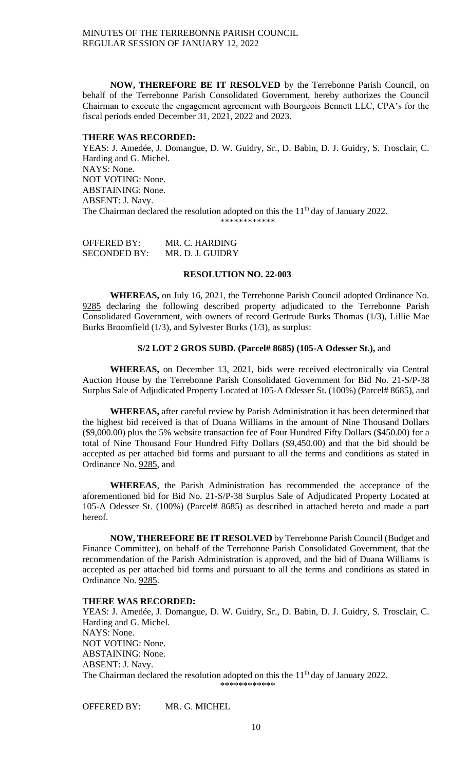**NOW, THEREFORE BE IT RESOLVED** by the Terrebonne Parish Council, on behalf of the Terrebonne Parish Consolidated Government, hereby authorizes the Council Chairman to execute the engagement agreement with Bourgeois Bennett LLC, CPA's for the fiscal periods ended December 31, 2021, 2022 and 2023.

## **THERE WAS RECORDED:**

YEAS: J. Amedée, J. Domangue, D. W. Guidry, Sr., D. Babin, D. J. Guidry, S. Trosclair, C. Harding and G. Michel. NAYS: None. NOT VOTING: None. ABSTAINING: None. ABSENT: J. Navy. The Chairman declared the resolution adopted on this the 11<sup>th</sup> day of January 2022. \*\*\*\*\*\*\*\*\*\*\*\*

| OFFERED BY:         | MR. C. HARDING   |
|---------------------|------------------|
| <b>SECONDED BY:</b> | MR. D. J. GUIDRY |

## **RESOLUTION NO. 22-003**

**WHEREAS,** on July 16, 2021, the Terrebonne Parish Council adopted Ordinance No. 9285 declaring the following described property adjudicated to the Terrebonne Parish Consolidated Government, with owners of record Gertrude Burks Thomas (1/3), Lillie Mae Burks Broomfield (1/3), and Sylvester Burks (1/3), as surplus:

## **S/2 LOT 2 GROS SUBD. (Parcel# 8685) (105-A Odesser St.),** and

**WHEREAS,** on December 13, 2021, bids were received electronically via Central Auction House by the Terrebonne Parish Consolidated Government for Bid No. 21-S/P-38 Surplus Sale of Adjudicated Property Located at 105-A Odesser St. (100%) (Parcel# 8685), and

**WHEREAS,** after careful review by Parish Administration it has been determined that the highest bid received is that of Duana Williams in the amount of Nine Thousand Dollars (\$9,000.00) plus the 5% website transaction fee of Four Hundred Fifty Dollars (\$450.00) for a total of Nine Thousand Four Hundred Fifty Dollars (\$9,450.00) and that the bid should be accepted as per attached bid forms and pursuant to all the terms and conditions as stated in Ordinance No. 9285, and

**WHEREAS**, the Parish Administration has recommended the acceptance of the aforementioned bid for Bid No. 21-S/P-38 Surplus Sale of Adjudicated Property Located at 105-A Odesser St. (100%) (Parcel# 8685) as described in attached hereto and made a part hereof.

**NOW, THEREFORE BE IT RESOLVED** by Terrebonne Parish Council (Budget and Finance Committee), on behalf of the Terrebonne Parish Consolidated Government, that the recommendation of the Parish Administration is approved, and the bid of Duana Williams is accepted as per attached bid forms and pursuant to all the terms and conditions as stated in Ordinance No. 9285.

## **THERE WAS RECORDED:**

YEAS: J. Amedée, J. Domangue, D. W. Guidry, Sr., D. Babin, D. J. Guidry, S. Trosclair, C. Harding and G. Michel. NAYS: None. NOT VOTING: None. ABSTAINING: None. ABSENT: J. Navy. The Chairman declared the resolution adopted on this the 11<sup>th</sup> day of January 2022.

\*\*\*\*\*\*\*\*\*\*\*\*

OFFERED BY: MR. G. MICHEL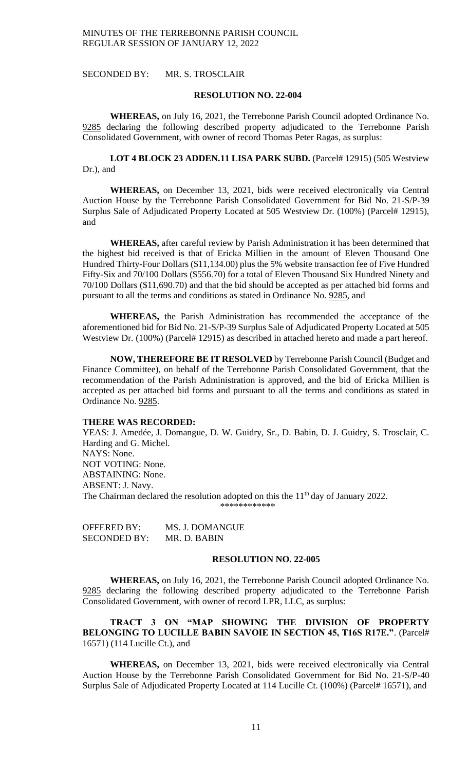SECONDED BY: MR. S. TROSCLAIR

### **RESOLUTION NO. 22-004**

**WHEREAS,** on July 16, 2021, the Terrebonne Parish Council adopted Ordinance No. 9285 declaring the following described property adjudicated to the Terrebonne Parish Consolidated Government, with owner of record Thomas Peter Ragas, as surplus:

LOT 4 BLOCK 23 ADDEN.11 LISA PARK SUBD. (Parcel# 12915) (505 Westview Dr.), and

**WHEREAS,** on December 13, 2021, bids were received electronically via Central Auction House by the Terrebonne Parish Consolidated Government for Bid No. 21-S/P-39 Surplus Sale of Adjudicated Property Located at 505 Westview Dr. (100%) (Parcel# 12915), and

**WHEREAS,** after careful review by Parish Administration it has been determined that the highest bid received is that of Ericka Millien in the amount of Eleven Thousand One Hundred Thirty-Four Dollars (\$11,134.00) plus the 5% website transaction fee of Five Hundred Fifty-Six and 70/100 Dollars (\$556.70) for a total of Eleven Thousand Six Hundred Ninety and 70/100 Dollars (\$11,690.70) and that the bid should be accepted as per attached bid forms and pursuant to all the terms and conditions as stated in Ordinance No. 9285, and

**WHEREAS,** the Parish Administration has recommended the acceptance of the aforementioned bid for Bid No. 21-S/P-39 Surplus Sale of Adjudicated Property Located at 505 Westview Dr. (100%) (Parcel# 12915) as described in attached hereto and made a part hereof.

**NOW, THEREFORE BE IT RESOLVED** by Terrebonne Parish Council (Budget and Finance Committee), on behalf of the Terrebonne Parish Consolidated Government, that the recommendation of the Parish Administration is approved, and the bid of Ericka Millien is accepted as per attached bid forms and pursuant to all the terms and conditions as stated in Ordinance No. 9285.

## **THERE WAS RECORDED:**

YEAS: J. Amedée, J. Domangue, D. W. Guidry, Sr., D. Babin, D. J. Guidry, S. Trosclair, C. Harding and G. Michel. NAYS: None. NOT VOTING: None. ABSTAINING: None. ABSENT: J. Navy. The Chairman declared the resolution adopted on this the 11<sup>th</sup> day of January 2022. \*\*\*\*\*\*\*\*\*\*\*\*

| <b>OFFERED BY:</b>  | MS. J. DOMANGUE |
|---------------------|-----------------|
| <b>SECONDED BY:</b> | MR. D. BABIN    |

#### **RESOLUTION NO. 22-005**

**WHEREAS,** on July 16, 2021, the Terrebonne Parish Council adopted Ordinance No. 9285 declaring the following described property adjudicated to the Terrebonne Parish Consolidated Government, with owner of record LPR, LLC, as surplus:

**TRACT 3 ON "MAP SHOWING THE DIVISION OF PROPERTY BELONGING TO LUCILLE BABIN SAVOIE IN SECTION 45, T16S R17E."**. (Parcel# 16571) (114 Lucille Ct.), and

**WHEREAS,** on December 13, 2021, bids were received electronically via Central Auction House by the Terrebonne Parish Consolidated Government for Bid No. 21-S/P-40 Surplus Sale of Adjudicated Property Located at 114 Lucille Ct. (100%) (Parcel# 16571), and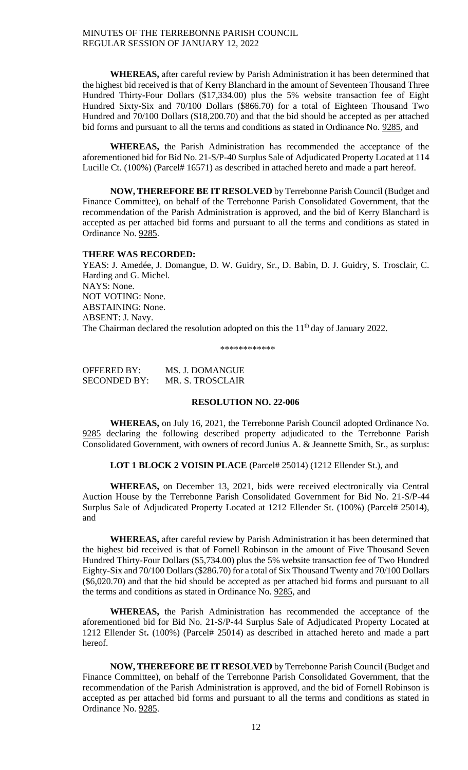**WHEREAS,** after careful review by Parish Administration it has been determined that the highest bid received is that of Kerry Blanchard in the amount of Seventeen Thousand Three Hundred Thirty-Four Dollars (\$17,334.00) plus the 5% website transaction fee of Eight Hundred Sixty-Six and 70/100 Dollars (\$866.70) for a total of Eighteen Thousand Two Hundred and 70/100 Dollars (\$18,200.70) and that the bid should be accepted as per attached bid forms and pursuant to all the terms and conditions as stated in Ordinance No. 9285, and

**WHEREAS,** the Parish Administration has recommended the acceptance of the aforementioned bid for Bid No. 21-S/P-40 Surplus Sale of Adjudicated Property Located at 114 Lucille Ct. (100%) (Parcel# 16571) as described in attached hereto and made a part hereof.

**NOW, THEREFORE BE IT RESOLVED** by Terrebonne Parish Council (Budget and Finance Committee), on behalf of the Terrebonne Parish Consolidated Government, that the recommendation of the Parish Administration is approved, and the bid of Kerry Blanchard is accepted as per attached bid forms and pursuant to all the terms and conditions as stated in Ordinance No. 9285.

#### **THERE WAS RECORDED:**

YEAS: J. Amedée, J. Domangue, D. W. Guidry, Sr., D. Babin, D. J. Guidry, S. Trosclair, C. Harding and G. Michel. NAYS: None. NOT VOTING: None. ABSTAINING: None. ABSENT: J. Navy. The Chairman declared the resolution adopted on this the 11<sup>th</sup> day of January 2022.

\*\*\*\*\*\*\*\*\*\*\*\*

| OFFERED BY:         | MS. J. DOMANGUE  |
|---------------------|------------------|
| <b>SECONDED BY:</b> | MR. S. TROSCLAIR |

## **RESOLUTION NO. 22-006**

**WHEREAS,** on July 16, 2021, the Terrebonne Parish Council adopted Ordinance No. 9285 declaring the following described property adjudicated to the Terrebonne Parish Consolidated Government, with owners of record Junius A. & Jeannette Smith, Sr., as surplus:

LOT 1 BLOCK 2 VOISIN PLACE (Parcel# 25014) (1212 Ellender St.), and

**WHEREAS,** on December 13, 2021, bids were received electronically via Central Auction House by the Terrebonne Parish Consolidated Government for Bid No. 21-S/P-44 Surplus Sale of Adjudicated Property Located at 1212 Ellender St. (100%) (Parcel# 25014), and

**WHEREAS,** after careful review by Parish Administration it has been determined that the highest bid received is that of Fornell Robinson in the amount of Five Thousand Seven Hundred Thirty-Four Dollars (\$5,734.00) plus the 5% website transaction fee of Two Hundred Eighty-Six and 70/100 Dollars (\$286.70) for a total of Six Thousand Twenty and 70/100 Dollars (\$6,020.70) and that the bid should be accepted as per attached bid forms and pursuant to all the terms and conditions as stated in Ordinance No. 9285, and

**WHEREAS,** the Parish Administration has recommended the acceptance of the aforementioned bid for Bid No. 21-S/P-44 Surplus Sale of Adjudicated Property Located at 1212 Ellender St**.** (100%) (Parcel# 25014) as described in attached hereto and made a part hereof.

**NOW, THEREFORE BE IT RESOLVED** by Terrebonne Parish Council (Budget and Finance Committee), on behalf of the Terrebonne Parish Consolidated Government, that the recommendation of the Parish Administration is approved, and the bid of Fornell Robinson is accepted as per attached bid forms and pursuant to all the terms and conditions as stated in Ordinance No. 9285.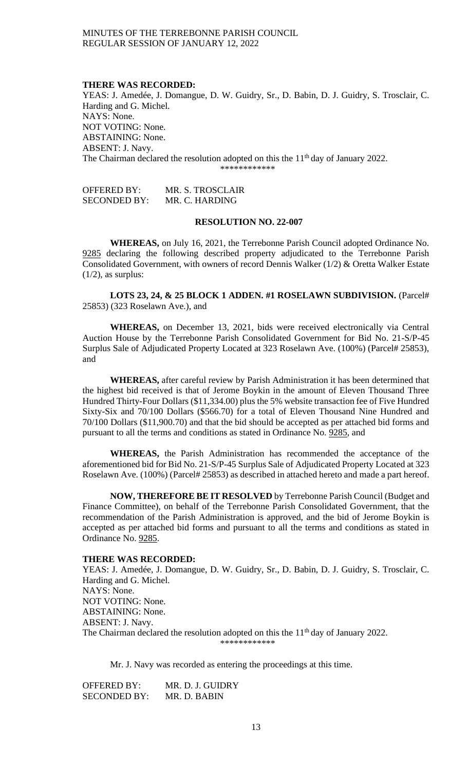#### **THERE WAS RECORDED:**

YEAS: J. Amedée, J. Domangue, D. W. Guidry, Sr., D. Babin, D. J. Guidry, S. Trosclair, C. Harding and G. Michel. NAYS: None. NOT VOTING: None. ABSTAINING: None. ABSENT: J. Navy. The Chairman declared the resolution adopted on this the  $11<sup>th</sup>$  day of January 2022. \*\*\*\*\*\*\*\*\*\*\*\*

OFFERED BY: MR. S. TROSCLAIR SECONDED BY: MR. C. HARDING

## **RESOLUTION NO. 22-007**

**WHEREAS,** on July 16, 2021, the Terrebonne Parish Council adopted Ordinance No. 9285 declaring the following described property adjudicated to the Terrebonne Parish Consolidated Government, with owners of record Dennis Walker (1/2) & Oretta Walker Estate  $(1/2)$ , as surplus:

**LOTS 23, 24, & 25 BLOCK 1 ADDEN. #1 ROSELAWN SUBDIVISION.** (Parcel# 25853) (323 Roselawn Ave.), and

**WHEREAS,** on December 13, 2021, bids were received electronically via Central Auction House by the Terrebonne Parish Consolidated Government for Bid No. 21-S/P-45 Surplus Sale of Adjudicated Property Located at 323 Roselawn Ave. (100%) (Parcel# 25853), and

**WHEREAS,** after careful review by Parish Administration it has been determined that the highest bid received is that of Jerome Boykin in the amount of Eleven Thousand Three Hundred Thirty-Four Dollars (\$11,334.00) plus the 5% website transaction fee of Five Hundred Sixty-Six and 70/100 Dollars (\$566.70) for a total of Eleven Thousand Nine Hundred and 70/100 Dollars (\$11,900.70) and that the bid should be accepted as per attached bid forms and pursuant to all the terms and conditions as stated in Ordinance No. 9285, and

**WHEREAS,** the Parish Administration has recommended the acceptance of the aforementioned bid for Bid No. 21-S/P-45 Surplus Sale of Adjudicated Property Located at 323 Roselawn Ave. (100%) (Parcel# 25853) as described in attached hereto and made a part hereof.

**NOW, THEREFORE BE IT RESOLVED** by Terrebonne Parish Council (Budget and Finance Committee), on behalf of the Terrebonne Parish Consolidated Government, that the recommendation of the Parish Administration is approved, and the bid of Jerome Boykin is accepted as per attached bid forms and pursuant to all the terms and conditions as stated in Ordinance No. 9285.

#### **THERE WAS RECORDED:**

YEAS: J. Amedée, J. Domangue, D. W. Guidry, Sr., D. Babin, D. J. Guidry, S. Trosclair, C. Harding and G. Michel. NAYS: None. NOT VOTING: None. ABSTAINING: None. ABSENT: J. Navy. The Chairman declared the resolution adopted on this the 11<sup>th</sup> day of January 2022. \*\*\*\*\*\*\*\*\*\*\*\*

Mr. J. Navy was recorded as entering the proceedings at this time.

OFFERED BY: MR. D. J. GUIDRY SECONDED BY: MR. D. BABIN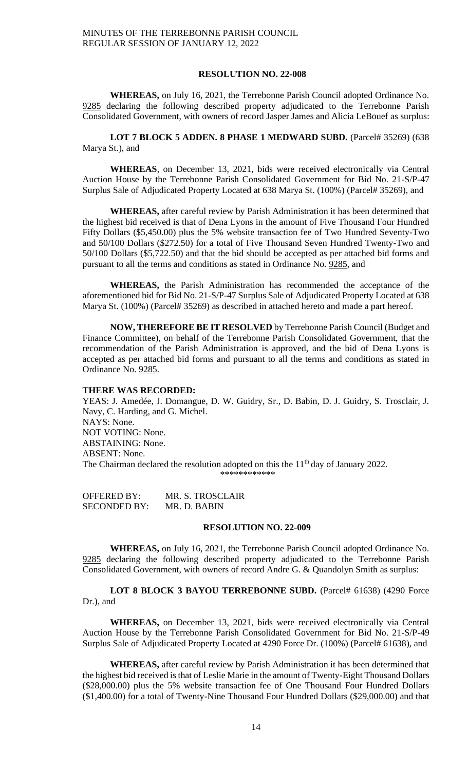#### **RESOLUTION NO. 22-008**

**WHEREAS,** on July 16, 2021, the Terrebonne Parish Council adopted Ordinance No. 9285 declaring the following described property adjudicated to the Terrebonne Parish Consolidated Government, with owners of record Jasper James and Alicia LeBouef as surplus:

LOT 7 BLOCK 5 ADDEN. 8 PHASE 1 MEDWARD SUBD. (Parcel# 35269) (638 Marya St.), and

**WHEREAS**, on December 13, 2021, bids were received electronically via Central Auction House by the Terrebonne Parish Consolidated Government for Bid No. 21-S/P-47 Surplus Sale of Adjudicated Property Located at 638 Marya St. (100%) (Parcel# 35269), and

**WHEREAS,** after careful review by Parish Administration it has been determined that the highest bid received is that of Dena Lyons in the amount of Five Thousand Four Hundred Fifty Dollars (\$5,450.00) plus the 5% website transaction fee of Two Hundred Seventy-Two and 50/100 Dollars (\$272.50) for a total of Five Thousand Seven Hundred Twenty-Two and 50/100 Dollars (\$5,722.50) and that the bid should be accepted as per attached bid forms and pursuant to all the terms and conditions as stated in Ordinance No. 9285, and

**WHEREAS,** the Parish Administration has recommended the acceptance of the aforementioned bid for Bid No. 21-S/P-47 Surplus Sale of Adjudicated Property Located at 638 Marya St. (100%) (Parcel# 35269) as described in attached hereto and made a part hereof.

**NOW, THEREFORE BE IT RESOLVED** by Terrebonne Parish Council (Budget and Finance Committee), on behalf of the Terrebonne Parish Consolidated Government, that the recommendation of the Parish Administration is approved, and the bid of Dena Lyons is accepted as per attached bid forms and pursuant to all the terms and conditions as stated in Ordinance No. 9285.

#### **THERE WAS RECORDED:**

YEAS: J. Amedée, J. Domangue, D. W. Guidry, Sr., D. Babin, D. J. Guidry, S. Trosclair, J. Navy, C. Harding, and G. Michel. NAYS: None. NOT VOTING: None. ABSTAINING: None. ABSENT: None. The Chairman declared the resolution adopted on this the  $11<sup>th</sup>$  day of January 2022. \*\*\*\*\*\*\*\*\*\*\*

OFFERED BY: MR. S. TROSCLAIR SECONDED BY: MR. D. BABIN

## **RESOLUTION NO. 22-009**

**WHEREAS,** on July 16, 2021, the Terrebonne Parish Council adopted Ordinance No. 9285 declaring the following described property adjudicated to the Terrebonne Parish Consolidated Government, with owners of record Andre G. & Quandolyn Smith as surplus:

**LOT 8 BLOCK 3 BAYOU TERREBONNE SUBD.** (Parcel# 61638) (4290 Force Dr.), and

**WHEREAS,** on December 13, 2021, bids were received electronically via Central Auction House by the Terrebonne Parish Consolidated Government for Bid No. 21-S/P-49 Surplus Sale of Adjudicated Property Located at 4290 Force Dr. (100%) (Parcel# 61638), and

**WHEREAS,** after careful review by Parish Administration it has been determined that the highest bid received is that of Leslie Marie in the amount of Twenty-Eight Thousand Dollars (\$28,000.00) plus the 5% website transaction fee of One Thousand Four Hundred Dollars (\$1,400.00) for a total of Twenty-Nine Thousand Four Hundred Dollars (\$29,000.00) and that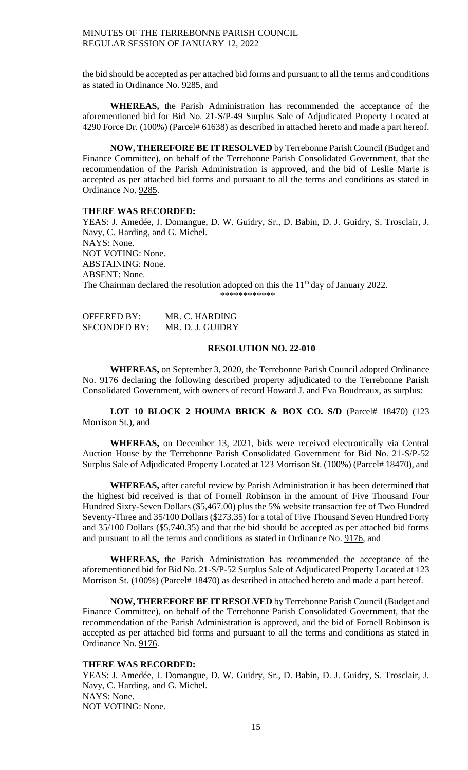the bid should be accepted as per attached bid forms and pursuant to all the terms and conditions as stated in Ordinance No. 9285, and

**WHEREAS,** the Parish Administration has recommended the acceptance of the aforementioned bid for Bid No. 21-S/P-49 Surplus Sale of Adjudicated Property Located at 4290 Force Dr. (100%) (Parcel# 61638) as described in attached hereto and made a part hereof.

**NOW, THEREFORE BE IT RESOLVED** by Terrebonne Parish Council (Budget and Finance Committee), on behalf of the Terrebonne Parish Consolidated Government, that the recommendation of the Parish Administration is approved, and the bid of Leslie Marie is accepted as per attached bid forms and pursuant to all the terms and conditions as stated in Ordinance No. 9285.

### **THERE WAS RECORDED:**

YEAS: J. Amedée, J. Domangue, D. W. Guidry, Sr., D. Babin, D. J. Guidry, S. Trosclair, J. Navy, C. Harding, and G. Michel. NAYS: None. NOT VOTING: None. ABSTAINING: None. ABSENT: None. The Chairman declared the resolution adopted on this the 11<sup>th</sup> day of January 2022. \*\*\*\*\*\*\*\*\*\*\*\*

OFFERED BY: MR. C. HARDING SECONDED BY: MR. D. J. GUIDRY

### **RESOLUTION NO. 22-010**

**WHEREAS,** on September 3, 2020, the Terrebonne Parish Council adopted Ordinance No. 9176 declaring the following described property adjudicated to the Terrebonne Parish Consolidated Government, with owners of record Howard J. and Eva Boudreaux, as surplus:

**LOT 10 BLOCK 2 HOUMA BRICK & BOX CO. S/D** (Parcel# 18470) (123 Morrison St.), and

**WHEREAS,** on December 13, 2021, bids were received electronically via Central Auction House by the Terrebonne Parish Consolidated Government for Bid No. 21-S/P-52 Surplus Sale of Adjudicated Property Located at 123 Morrison St. (100%) (Parcel# 18470), and

**WHEREAS,** after careful review by Parish Administration it has been determined that the highest bid received is that of Fornell Robinson in the amount of Five Thousand Four Hundred Sixty-Seven Dollars (\$5,467.00) plus the 5% website transaction fee of Two Hundred Seventy-Three and 35/100 Dollars (\$273.35) for a total of Five Thousand Seven Hundred Forty and 35/100 Dollars (\$5,740.35) and that the bid should be accepted as per attached bid forms and pursuant to all the terms and conditions as stated in Ordinance No. 9176, and

**WHEREAS,** the Parish Administration has recommended the acceptance of the aforementioned bid for Bid No. 21-S/P-52 Surplus Sale of Adjudicated Property Located at 123 Morrison St. (100%) (Parcel# 18470) as described in attached hereto and made a part hereof.

**NOW, THEREFORE BE IT RESOLVED** by Terrebonne Parish Council (Budget and Finance Committee), on behalf of the Terrebonne Parish Consolidated Government, that the recommendation of the Parish Administration is approved, and the bid of Fornell Robinson is accepted as per attached bid forms and pursuant to all the terms and conditions as stated in Ordinance No. 9176.

### **THERE WAS RECORDED:**

YEAS: J. Amedée, J. Domangue, D. W. Guidry, Sr., D. Babin, D. J. Guidry, S. Trosclair, J. Navy, C. Harding, and G. Michel. NAYS: None. NOT VOTING: None.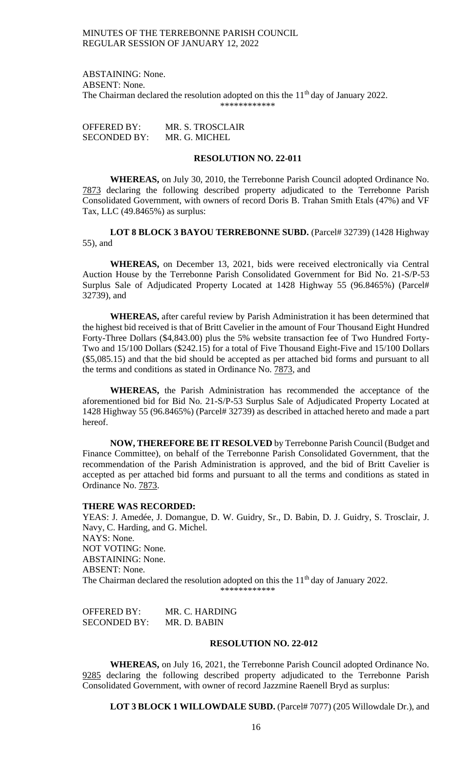ABSTAINING: None. ABSENT: None. The Chairman declared the resolution adopted on this the  $11<sup>th</sup>$  day of January 2022.

\*\*\*\*\*\*\*\*\*\*\*\*

| <b>OFFERED BY:</b> | MR. S. TROSCLAIR |
|--------------------|------------------|
| SECONDED BY:       | MR. G. MICHEL    |

### **RESOLUTION NO. 22-011**

**WHEREAS,** on July 30, 2010, the Terrebonne Parish Council adopted Ordinance No. 7873 declaring the following described property adjudicated to the Terrebonne Parish Consolidated Government, with owners of record Doris B. Trahan Smith Etals (47%) and VF Tax, LLC (49.8465%) as surplus:

LOT 8 BLOCK 3 BAYOU TERREBONNE SUBD. (Parcel# 32739) (1428 Highway 55), and

**WHEREAS,** on December 13, 2021, bids were received electronically via Central Auction House by the Terrebonne Parish Consolidated Government for Bid No. 21-S/P-53 Surplus Sale of Adjudicated Property Located at 1428 Highway 55 (96.8465%) (Parcel# 32739), and

**WHEREAS,** after careful review by Parish Administration it has been determined that the highest bid received is that of Britt Cavelier in the amount of Four Thousand Eight Hundred Forty-Three Dollars (\$4,843.00) plus the 5% website transaction fee of Two Hundred Forty-Two and 15/100 Dollars (\$242.15) for a total of Five Thousand Eight-Five and 15/100 Dollars (\$5,085.15) and that the bid should be accepted as per attached bid forms and pursuant to all the terms and conditions as stated in Ordinance No. 7873, and

**WHEREAS,** the Parish Administration has recommended the acceptance of the aforementioned bid for Bid No. 21-S/P-53 Surplus Sale of Adjudicated Property Located at 1428 Highway 55 (96.8465%) (Parcel# 32739) as described in attached hereto and made a part hereof.

**NOW, THEREFORE BE IT RESOLVED** by Terrebonne Parish Council (Budget and Finance Committee), on behalf of the Terrebonne Parish Consolidated Government, that the recommendation of the Parish Administration is approved, and the bid of Britt Cavelier is accepted as per attached bid forms and pursuant to all the terms and conditions as stated in Ordinance No. 7873.

#### **THERE WAS RECORDED:**

YEAS: J. Amedée, J. Domangue, D. W. Guidry, Sr., D. Babin, D. J. Guidry, S. Trosclair, J. Navy, C. Harding, and G. Michel. NAYS: None. NOT VOTING: None. ABSTAINING: None. ABSENT: None. The Chairman declared the resolution adopted on this the  $11<sup>th</sup>$  day of January 2022. \*\*\*\*\*\*\*\*\*\*\*\*

OFFERED BY: MR. C. HARDING SECONDED BY: MR. D. BABIN

#### **RESOLUTION NO. 22-012**

**WHEREAS,** on July 16, 2021, the Terrebonne Parish Council adopted Ordinance No. 9285 declaring the following described property adjudicated to the Terrebonne Parish Consolidated Government, with owner of record Jazzmine Raenell Bryd as surplus:

**LOT 3 BLOCK 1 WILLOWDALE SUBD.** (Parcel# 7077) (205 Willowdale Dr.), and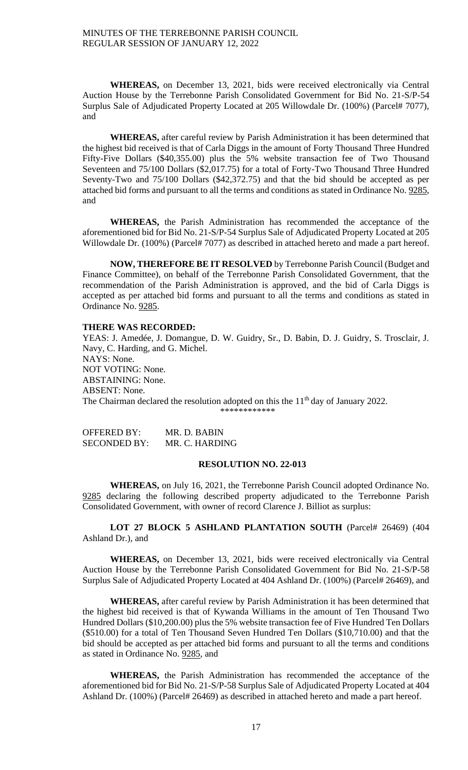**WHEREAS,** on December 13, 2021, bids were received electronically via Central Auction House by the Terrebonne Parish Consolidated Government for Bid No. 21-S/P-54 Surplus Sale of Adjudicated Property Located at 205 Willowdale Dr. (100%) (Parcel# 7077), and

**WHEREAS,** after careful review by Parish Administration it has been determined that the highest bid received is that of Carla Diggs in the amount of Forty Thousand Three Hundred Fifty-Five Dollars (\$40,355.00) plus the 5% website transaction fee of Two Thousand Seventeen and 75/100 Dollars (\$2,017.75) for a total of Forty-Two Thousand Three Hundred Seventy-Two and 75/100 Dollars (\$42,372.75) and that the bid should be accepted as per attached bid forms and pursuant to all the terms and conditions as stated in Ordinance No. 9285, and

**WHEREAS,** the Parish Administration has recommended the acceptance of the aforementioned bid for Bid No. 21-S/P-54 Surplus Sale of Adjudicated Property Located at 205 Willowdale Dr. (100%) (Parcel# 7077) as described in attached hereto and made a part hereof.

**NOW, THEREFORE BE IT RESOLVED** by Terrebonne Parish Council (Budget and Finance Committee), on behalf of the Terrebonne Parish Consolidated Government, that the recommendation of the Parish Administration is approved, and the bid of Carla Diggs is accepted as per attached bid forms and pursuant to all the terms and conditions as stated in Ordinance No. 9285.

### **THERE WAS RECORDED:**

YEAS: J. Amedée, J. Domangue, D. W. Guidry, Sr., D. Babin, D. J. Guidry, S. Trosclair, J. Navy, C. Harding, and G. Michel. NAYS: None. NOT VOTING: None. ABSTAINING: None. ABSENT: None. The Chairman declared the resolution adopted on this the  $11<sup>th</sup>$  day of January 2022. \*\*\*\*\*\*\*\*\*\*\*\*

OFFERED BY: MR. D. BABIN SECONDED BY: MR. C. HARDING

### **RESOLUTION NO. 22-013**

**WHEREAS,** on July 16, 2021, the Terrebonne Parish Council adopted Ordinance No. 9285 declaring the following described property adjudicated to the Terrebonne Parish Consolidated Government, with owner of record Clarence J. Billiot as surplus:

LOT 27 BLOCK 5 ASHLAND PLANTATION SOUTH (Parcel# 26469) (404 Ashland Dr.), and

**WHEREAS,** on December 13, 2021, bids were received electronically via Central Auction House by the Terrebonne Parish Consolidated Government for Bid No. 21-S/P-58 Surplus Sale of Adjudicated Property Located at 404 Ashland Dr. (100%) (Parcel# 26469), and

**WHEREAS,** after careful review by Parish Administration it has been determined that the highest bid received is that of Kywanda Williams in the amount of Ten Thousand Two Hundred Dollars (\$10,200.00) plus the 5% website transaction fee of Five Hundred Ten Dollars (\$510.00) for a total of Ten Thousand Seven Hundred Ten Dollars (\$10,710.00) and that the bid should be accepted as per attached bid forms and pursuant to all the terms and conditions as stated in Ordinance No. 9285, and

**WHEREAS,** the Parish Administration has recommended the acceptance of the aforementioned bid for Bid No. 21-S/P-58 Surplus Sale of Adjudicated Property Located at 404 Ashland Dr. (100%) (Parcel# 26469) as described in attached hereto and made a part hereof.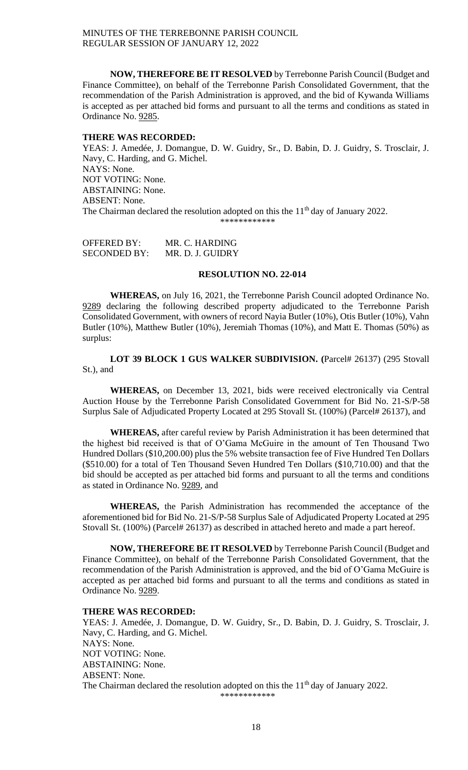**NOW, THEREFORE BE IT RESOLVED** by Terrebonne Parish Council (Budget and Finance Committee), on behalf of the Terrebonne Parish Consolidated Government, that the recommendation of the Parish Administration is approved, and the bid of Kywanda Williams is accepted as per attached bid forms and pursuant to all the terms and conditions as stated in Ordinance No. 9285.

## **THERE WAS RECORDED:**

YEAS: J. Amedée, J. Domangue, D. W. Guidry, Sr., D. Babin, D. J. Guidry, S. Trosclair, J. Navy, C. Harding, and G. Michel. NAYS: None. NOT VOTING: None. ABSTAINING: None. ABSENT: None. The Chairman declared the resolution adopted on this the 11<sup>th</sup> day of January 2022. \*\*\*\*\*\*\*\*\*\*\*\*

| <b>OFFERED BY:</b>  | MR. C. HARDING   |
|---------------------|------------------|
| <b>SECONDED BY:</b> | MR. D. J. GUIDRY |

### **RESOLUTION NO. 22-014**

**WHEREAS,** on July 16, 2021, the Terrebonne Parish Council adopted Ordinance No. 9289 declaring the following described property adjudicated to the Terrebonne Parish Consolidated Government, with owners of record Nayia Butler (10%), Otis Butler (10%), Vahn Butler (10%), Matthew Butler (10%), Jeremiah Thomas (10%), and Matt E. Thomas (50%) as surplus:

**LOT 39 BLOCK 1 GUS WALKER SUBDIVISION. (**Parcel# 26137) (295 Stovall St.), and

**WHEREAS,** on December 13, 2021, bids were received electronically via Central Auction House by the Terrebonne Parish Consolidated Government for Bid No. 21-S/P-58 Surplus Sale of Adjudicated Property Located at 295 Stovall St. (100%) (Parcel# 26137), and

**WHEREAS,** after careful review by Parish Administration it has been determined that the highest bid received is that of O'Gama McGuire in the amount of Ten Thousand Two Hundred Dollars (\$10,200.00) plus the 5% website transaction fee of Five Hundred Ten Dollars (\$510.00) for a total of Ten Thousand Seven Hundred Ten Dollars (\$10,710.00) and that the bid should be accepted as per attached bid forms and pursuant to all the terms and conditions as stated in Ordinance No. 9289, and

**WHEREAS,** the Parish Administration has recommended the acceptance of the aforementioned bid for Bid No. 21-S/P-58 Surplus Sale of Adjudicated Property Located at 295 Stovall St. (100%) (Parcel# 26137) as described in attached hereto and made a part hereof.

**NOW, THEREFORE BE IT RESOLVED** by Terrebonne Parish Council (Budget and Finance Committee), on behalf of the Terrebonne Parish Consolidated Government, that the recommendation of the Parish Administration is approved, and the bid of O'Gama McGuire is accepted as per attached bid forms and pursuant to all the terms and conditions as stated in Ordinance No. 9289.

## **THERE WAS RECORDED:**

YEAS: J. Amedée, J. Domangue, D. W. Guidry, Sr., D. Babin, D. J. Guidry, S. Trosclair, J. Navy, C. Harding, and G. Michel. NAYS: None. NOT VOTING: None. ABSTAINING: None. ABSENT: None. The Chairman declared the resolution adopted on this the 11<sup>th</sup> day of January 2022. \*\*\*\*\*\*\*\*\*\*\*\*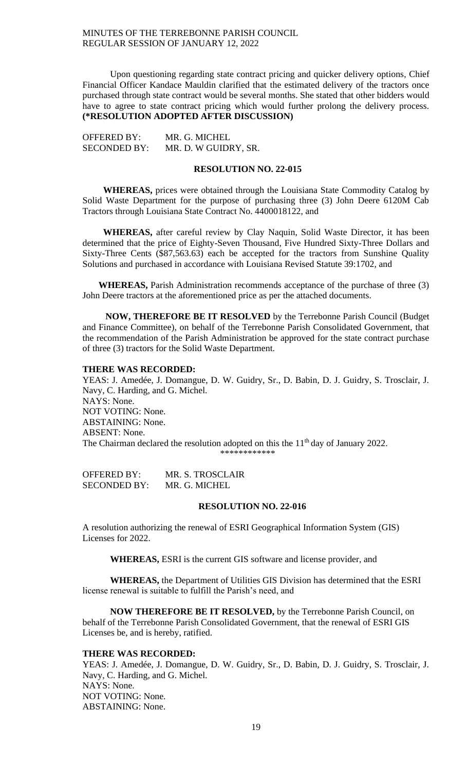Upon questioning regarding state contract pricing and quicker delivery options, Chief Financial Officer Kandace Mauldin clarified that the estimated delivery of the tractors once purchased through state contract would be several months. She stated that other bidders would have to agree to state contract pricing which would further prolong the delivery process. **(\*RESOLUTION ADOPTED AFTER DISCUSSION)**

| <b>OFFERED BY:</b>  | MR. G. MICHEL        |
|---------------------|----------------------|
| <b>SECONDED BY:</b> | MR. D. W GUIDRY, SR. |

### **RESOLUTION NO. 22-015**

 **WHEREAS,** prices were obtained through the Louisiana State Commodity Catalog by Solid Waste Department for the purpose of purchasing three (3) John Deere 6120M Cab Tractors through Louisiana State Contract No. 4400018122, and

 **WHEREAS,** after careful review by Clay Naquin, Solid Waste Director, it has been determined that the price of Eighty-Seven Thousand, Five Hundred Sixty-Three Dollars and Sixty-Three Cents (\$87,563.63) each be accepted for the tractors from Sunshine Quality Solutions and purchased in accordance with Louisiana Revised Statute 39:1702, and

 **WHEREAS,** Parish Administration recommends acceptance of the purchase of three (3) John Deere tractors at the aforementioned price as per the attached documents.

 **NOW, THEREFORE BE IT RESOLVED** by the Terrebonne Parish Council (Budget and Finance Committee), on behalf of the Terrebonne Parish Consolidated Government, that the recommendation of the Parish Administration be approved for the state contract purchase of three (3) tractors for the Solid Waste Department.

#### **THERE WAS RECORDED:**

YEAS: J. Amedée, J. Domangue, D. W. Guidry, Sr., D. Babin, D. J. Guidry, S. Trosclair, J. Navy, C. Harding, and G. Michel. NAYS: None. NOT VOTING: None. ABSTAINING: None. ABSENT: None. The Chairman declared the resolution adopted on this the 11<sup>th</sup> day of January 2022. \*\*\*\*\*\*\*\*\*\*\*\*

OFFERED BY: MR. S. TROSCLAIR SECONDED BY: MR. G. MICHEL

#### **RESOLUTION NO. 22-016**

A resolution authorizing the renewal of ESRI Geographical Information System (GIS) Licenses for 2022.

**WHEREAS,** ESRI is the current GIS software and license provider, and

**WHEREAS,** the Department of Utilities GIS Division has determined that the ESRI license renewal is suitable to fulfill the Parish's need, and

**NOW THEREFORE BE IT RESOLVED,** by the Terrebonne Parish Council, on behalf of the Terrebonne Parish Consolidated Government, that the renewal of ESRI GIS Licenses be, and is hereby, ratified.

## **THERE WAS RECORDED:**

YEAS: J. Amedée, J. Domangue, D. W. Guidry, Sr., D. Babin, D. J. Guidry, S. Trosclair, J. Navy, C. Harding, and G. Michel. NAYS: None. NOT VOTING: None. ABSTAINING: None.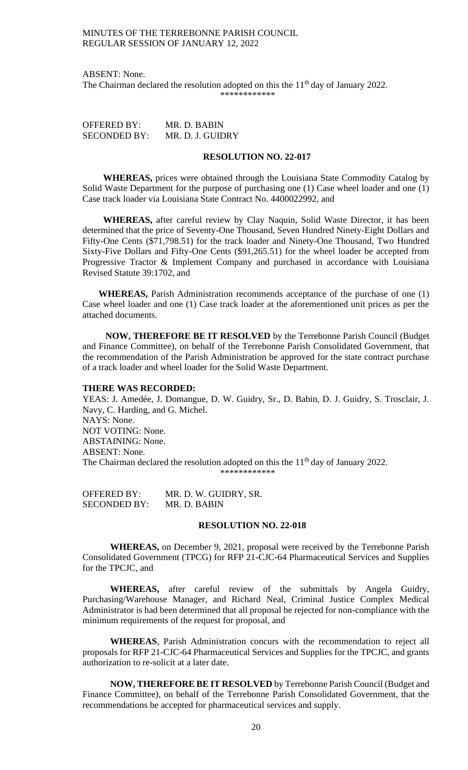ABSENT: None.

The Chairman declared the resolution adopted on this the  $11<sup>th</sup>$  day of January 2022. \*\*\*\*\*\*\*\*\*\*\*\*

OFFERED BY: MR. D. BABIN SECONDED BY: MR. D. J. GUIDRY

## **RESOLUTION NO. 22-017**

 **WHEREAS,** prices were obtained through the Louisiana State Commodity Catalog by Solid Waste Department for the purpose of purchasing one (1) Case wheel loader and one (1) Case track loader via Louisiana State Contract No. 4400022992, and

 **WHEREAS,** after careful review by Clay Naquin, Solid Waste Director, it has been determined that the price of Seventy-One Thousand, Seven Hundred Ninety-Eight Dollars and Fifty-One Cents (\$71,798.51) for the track loader and Ninety-One Thousand, Two Hundred Sixty-Five Dollars and Fifty-One Cents (\$91,265.51) for the wheel loader be accepted from Progressive Tractor & Implement Company and purchased in accordance with Louisiana Revised Statute 39:1702, and

 **WHEREAS,** Parish Administration recommends acceptance of the purchase of one (1) Case wheel loader and one (1) Case track loader at the aforementioned unit prices as per the attached documents.

 **NOW, THEREFORE BE IT RESOLVED** by the Terrebonne Parish Council (Budget and Finance Committee), on behalf of the Terrebonne Parish Consolidated Government, that the recommendation of the Parish Administration be approved for the state contract purchase of a track loader and wheel loader for the Solid Waste Department.

## **THERE WAS RECORDED:**

YEAS: J. Amedée, J. Domangue, D. W. Guidry, Sr., D. Babin, D. J. Guidry, S. Trosclair, J. Navy, C. Harding, and G. Michel. NAYS: None. NOT VOTING: None. ABSTAINING: None. ABSENT: None. The Chairman declared the resolution adopted on this the 11<sup>th</sup> day of January 2022. \*\*\*\*\*\*\*\*\*\*\*\*

OFFERED BY: MR. D. W. GUIDRY, SR. SECONDED BY: MR. D. BABIN

#### **RESOLUTION NO. 22-018**

**WHEREAS,** on December 9, 2021, proposal were received by the Terrebonne Parish Consolidated Government (TPCG) for RFP 21-CJC-64 Pharmaceutical Services and Supplies for the TPCJC, and

**WHEREAS,** after careful review of the submittals by Angela Guidry, Purchasing/Warehouse Manager, and Richard Neal, Criminal Justice Complex Medical Administrator is had been determined that all proposal be rejected for non-compliance with the minimum requirements of the request for proposal, and

**WHEREAS**, Parish Administration concurs with the recommendation to reject all proposals for RFP 21-CJC-64 Pharmaceutical Services and Supplies for the TPCJC, and grants authorization to re-solicit at a later date.

**NOW, THEREFORE BE IT RESOLVED** by Terrebonne Parish Council (Budget and Finance Committee), on behalf of the Terrebonne Parish Consolidated Government, that the recommendations be accepted for pharmaceutical services and supply.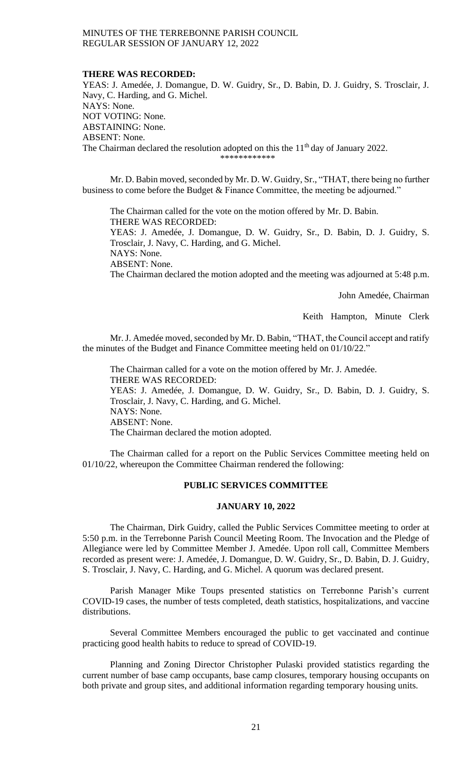#### **THERE WAS RECORDED:**

YEAS: J. Amedée, J. Domangue, D. W. Guidry, Sr., D. Babin, D. J. Guidry, S. Trosclair, J. Navy, C. Harding, and G. Michel. NAYS: None. NOT VOTING: None. ABSTAINING: None. ABSENT: None. The Chairman declared the resolution adopted on this the 11<sup>th</sup> day of January 2022.

\*\*\*\*\*\*\*\*\*\*\*\*

Mr. D. Babin moved, seconded by Mr. D. W. Guidry, Sr., "THAT, there being no further business to come before the Budget & Finance Committee, the meeting be adjourned."

The Chairman called for the vote on the motion offered by Mr. D. Babin. THERE WAS RECORDED: YEAS: J. Amedée, J. Domangue, D. W. Guidry, Sr., D. Babin, D. J. Guidry, S. Trosclair, J. Navy, C. Harding, and G. Michel. NAYS: None. ABSENT: None. The Chairman declared the motion adopted and the meeting was adjourned at 5:48 p.m.

John Amedée, Chairman

Keith Hampton, Minute Clerk

Mr. J. Amedée moved, seconded by Mr. D. Babin, "THAT, the Council accept and ratify the minutes of the Budget and Finance Committee meeting held on 01/10/22."

The Chairman called for a vote on the motion offered by Mr. J. Amedée. THERE WAS RECORDED: YEAS: J. Amedée, J. Domangue, D. W. Guidry, Sr., D. Babin, D. J. Guidry, S. Trosclair, J. Navy, C. Harding, and G. Michel. NAYS: None. ABSENT: None. The Chairman declared the motion adopted.

The Chairman called for a report on the Public Services Committee meeting held on 01/10/22, whereupon the Committee Chairman rendered the following:

# **PUBLIC SERVICES COMMITTEE**

#### **JANUARY 10, 2022**

The Chairman, Dirk Guidry, called the Public Services Committee meeting to order at 5:50 p.m. in the Terrebonne Parish Council Meeting Room. The Invocation and the Pledge of Allegiance were led by Committee Member J. Amedée. Upon roll call, Committee Members recorded as present were: J. Amedée, J. Domangue, D. W. Guidry, Sr., D. Babin, D. J. Guidry, S. Trosclair, J. Navy, C. Harding, and G. Michel. A quorum was declared present.

Parish Manager Mike Toups presented statistics on Terrebonne Parish's current COVID-19 cases, the number of tests completed, death statistics, hospitalizations, and vaccine distributions.

Several Committee Members encouraged the public to get vaccinated and continue practicing good health habits to reduce to spread of COVID-19.

Planning and Zoning Director Christopher Pulaski provided statistics regarding the current number of base camp occupants, base camp closures, temporary housing occupants on both private and group sites, and additional information regarding temporary housing units.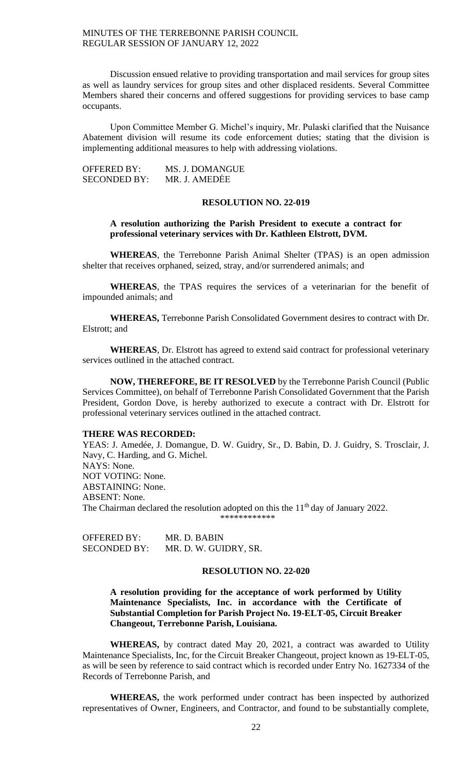Discussion ensued relative to providing transportation and mail services for group sites as well as laundry services for group sites and other displaced residents. Several Committee Members shared their concerns and offered suggestions for providing services to base camp occupants.

Upon Committee Member G. Michel's inquiry, Mr. Pulaski clarified that the Nuisance Abatement division will resume its code enforcement duties; stating that the division is implementing additional measures to help with addressing violations.

| OFFERED BY:         | MS. J. DOMANGUE |
|---------------------|-----------------|
| <b>SECONDED BY:</b> | MR. J. AMEDEE   |

#### **RESOLUTION NO. 22-019**

**A resolution authorizing the Parish President to execute a contract for professional veterinary services with Dr. Kathleen Elstrott, DVM.**

**WHEREAS**, the Terrebonne Parish Animal Shelter (TPAS) is an open admission shelter that receives orphaned, seized, stray, and/or surrendered animals; and

**WHEREAS**, the TPAS requires the services of a veterinarian for the benefit of impounded animals; and

**WHEREAS,** Terrebonne Parish Consolidated Government desires to contract with Dr. Elstrott; and

**WHEREAS**, Dr. Elstrott has agreed to extend said contract for professional veterinary services outlined in the attached contract.

**NOW, THEREFORE, BE IT RESOLVED** by the Terrebonne Parish Council (Public Services Committee), on behalf of Terrebonne Parish Consolidated Government that the Parish President, Gordon Dove, is hereby authorized to execute a contract with Dr. Elstrott for professional veterinary services outlined in the attached contract.

#### **THERE WAS RECORDED:**

YEAS: J. Amedée, J. Domangue, D. W. Guidry, Sr., D. Babin, D. J. Guidry, S. Trosclair, J. Navy, C. Harding, and G. Michel. NAYS: None. NOT VOTING: None. ABSTAINING: None. ABSENT: None. The Chairman declared the resolution adopted on this the  $11<sup>th</sup>$  day of January 2022. \*\*\*\*\*\*\*\*\*\*\*\*

OFFERED BY: MR. D. BABIN SECONDED BY: MR. D. W. GUIDRY, SR.

## **RESOLUTION NO. 22-020**

**A resolution providing for the acceptance of work performed by Utility Maintenance Specialists, Inc. in accordance with the Certificate of Substantial Completion for Parish Project No. 19-ELT-05, Circuit Breaker Changeout, Terrebonne Parish, Louisiana.**

**WHEREAS,** by contract dated May 20, 2021, a contract was awarded to Utility Maintenance Specialists, Inc, for the Circuit Breaker Changeout, project known as 19-ELT-05, as will be seen by reference to said contract which is recorded under Entry No. 1627334 of the Records of Terrebonne Parish, and

**WHEREAS,** the work performed under contract has been inspected by authorized representatives of Owner, Engineers, and Contractor, and found to be substantially complete,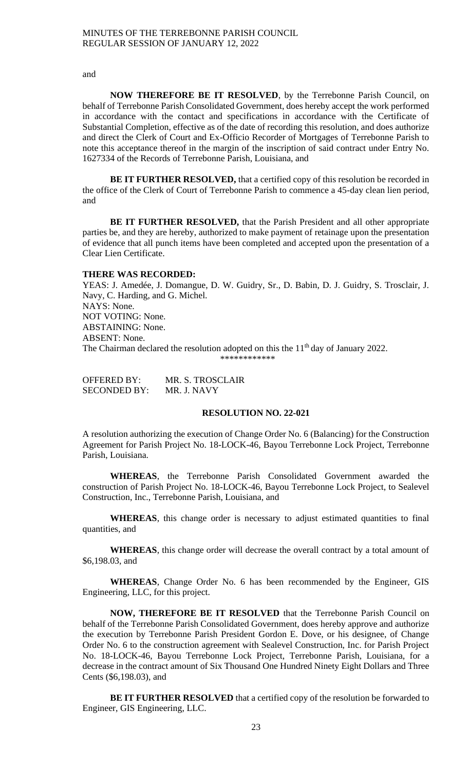and

**NOW THEREFORE BE IT RESOLVED**, by the Terrebonne Parish Council, on behalf of Terrebonne Parish Consolidated Government, does hereby accept the work performed in accordance with the contact and specifications in accordance with the Certificate of Substantial Completion, effective as of the date of recording this resolution, and does authorize and direct the Clerk of Court and Ex-Officio Recorder of Mortgages of Terrebonne Parish to note this acceptance thereof in the margin of the inscription of said contract under Entry No. 1627334 of the Records of Terrebonne Parish, Louisiana, and

**BE IT FURTHER RESOLVED,** that a certified copy of this resolution be recorded in the office of the Clerk of Court of Terrebonne Parish to commence a 45-day clean lien period, and

**BE IT FURTHER RESOLVED,** that the Parish President and all other appropriate parties be, and they are hereby, authorized to make payment of retainage upon the presentation of evidence that all punch items have been completed and accepted upon the presentation of a Clear Lien Certificate.

#### **THERE WAS RECORDED:**

YEAS: J. Amedée, J. Domangue, D. W. Guidry, Sr., D. Babin, D. J. Guidry, S. Trosclair, J. Navy, C. Harding, and G. Michel. NAYS: None. NOT VOTING: None. ABSTAINING: None. ABSENT: None. The Chairman declared the resolution adopted on this the 11<sup>th</sup> day of January 2022. \*\*\*\*\*\*\*\*\*\*\*\*

| <b>OFFERED BY:</b>  | MR. S. TROSCLAIR |
|---------------------|------------------|
| <b>SECONDED BY:</b> | MR. J. NAVY      |

## **RESOLUTION NO. 22-021**

A resolution authorizing the execution of Change Order No. 6 (Balancing) for the Construction Agreement for Parish Project No. 18-LOCK-46, Bayou Terrebonne Lock Project, Terrebonne Parish, Louisiana.

**WHEREAS**, the Terrebonne Parish Consolidated Government awarded the construction of Parish Project No. 18-LOCK-46, Bayou Terrebonne Lock Project, to Sealevel Construction, Inc., Terrebonne Parish, Louisiana, and

WHEREAS, this change order is necessary to adjust estimated quantities to final quantities, and

**WHEREAS**, this change order will decrease the overall contract by a total amount of \$6,198.03, and

**WHEREAS**, Change Order No. 6 has been recommended by the Engineer, GIS Engineering, LLC, for this project.

**NOW, THEREFORE BE IT RESOLVED** that the Terrebonne Parish Council on behalf of the Terrebonne Parish Consolidated Government, does hereby approve and authorize the execution by Terrebonne Parish President Gordon E. Dove, or his designee, of Change Order No. 6 to the construction agreement with Sealevel Construction, Inc. for Parish Project No. 18-LOCK-46, Bayou Terrebonne Lock Project, Terrebonne Parish, Louisiana, for a decrease in the contract amount of Six Thousand One Hundred Ninety Eight Dollars and Three Cents (\$6,198.03), and

**BE IT FURTHER RESOLVED** that a certified copy of the resolution be forwarded to Engineer, GIS Engineering, LLC.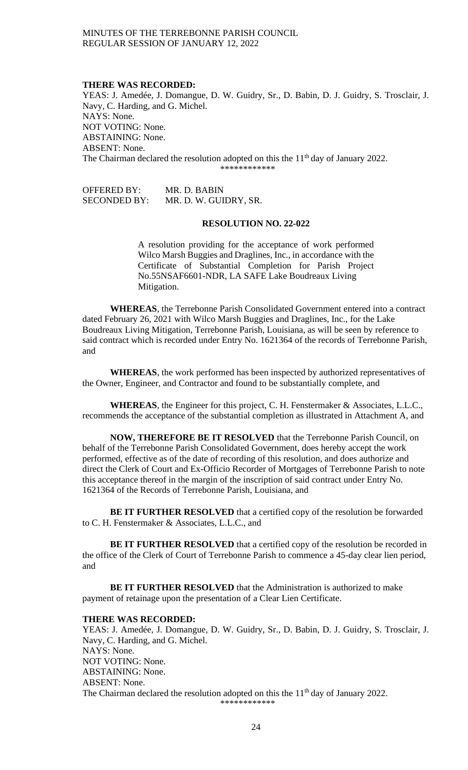#### **THERE WAS RECORDED:**

YEAS: J. Amedée, J. Domangue, D. W. Guidry, Sr., D. Babin, D. J. Guidry, S. Trosclair, J. Navy, C. Harding, and G. Michel. NAYS: None. NOT VOTING: None. ABSTAINING: None. ABSENT: None. The Chairman declared the resolution adopted on this the 11<sup>th</sup> day of January 2022. \*\*\*\*\*\*\*\*\*\*\*\*

OFFERED BY: MR. D. BABIN SECONDED BY: MR. D. W. GUIDRY, SR.

#### **RESOLUTION NO. 22-022**

A resolution providing for the acceptance of work performed Wilco Marsh Buggies and Draglines, Inc., in accordance with the Certificate of Substantial Completion for Parish Project No.55NSAF6601-NDR, LA SAFE Lake Boudreaux Living Mitigation.

**WHEREAS**, the Terrebonne Parish Consolidated Government entered into a contract dated February 26, 2021 with Wilco Marsh Buggies and Draglines, Inc., for the Lake Boudreaux Living Mitigation, Terrebonne Parish, Louisiana, as will be seen by reference to said contract which is recorded under Entry No. 1621364 of the records of Terrebonne Parish, and

**WHEREAS**, the work performed has been inspected by authorized representatives of the Owner, Engineer, and Contractor and found to be substantially complete, and

**WHEREAS**, the Engineer for this project, C. H. Fenstermaker & Associates, L.L.C., recommends the acceptance of the substantial completion as illustrated in Attachment A, and

**NOW, THEREFORE BE IT RESOLVED** that the Terrebonne Parish Council, on behalf of the Terrebonne Parish Consolidated Government, does hereby accept the work performed, effective as of the date of recording of this resolution, and does authorize and direct the Clerk of Court and Ex-Officio Recorder of Mortgages of Terrebonne Parish to note this acceptance thereof in the margin of the inscription of said contract under Entry No. 1621364 of the Records of Terrebonne Parish, Louisiana, and

**BE IT FURTHER RESOLVED** that a certified copy of the resolution be forwarded to C. H. Fenstermaker & Associates, L.L.C., and

**BE IT FURTHER RESOLVED** that a certified copy of the resolution be recorded in the office of the Clerk of Court of Terrebonne Parish to commence a 45-day clear lien period, and

**BE IT FURTHER RESOLVED** that the Administration is authorized to make payment of retainage upon the presentation of a Clear Lien Certificate.

## **THERE WAS RECORDED:**

YEAS: J. Amedée, J. Domangue, D. W. Guidry, Sr., D. Babin, D. J. Guidry, S. Trosclair, J. Navy, C. Harding, and G. Michel. NAYS: None. NOT VOTING: None. ABSTAINING: None. ABSENT: None. The Chairman declared the resolution adopted on this the  $11<sup>th</sup>$  day of January 2022.

\*\*\*\*\*\*\*\*\*\*\*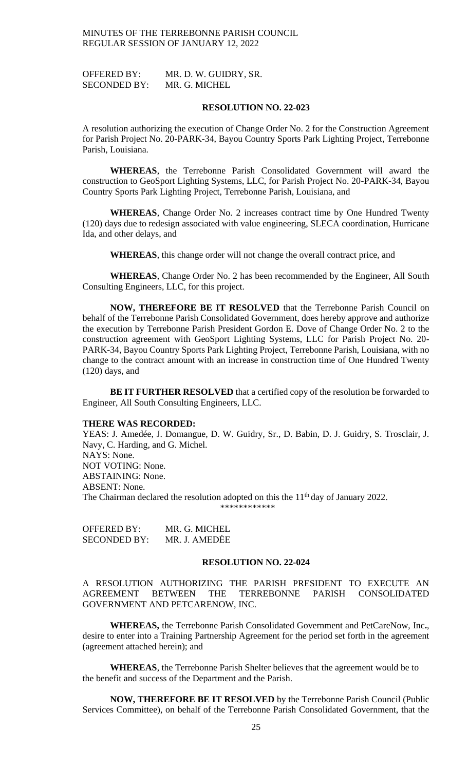OFFERED BY: MR. D. W. GUIDRY, SR. SECONDED BY: MR. G. MICHEL

#### **RESOLUTION NO. 22-023**

A resolution authorizing the execution of Change Order No. 2 for the Construction Agreement for Parish Project No. 20-PARK-34, Bayou Country Sports Park Lighting Project, Terrebonne Parish, Louisiana.

**WHEREAS**, the Terrebonne Parish Consolidated Government will award the construction to GeoSport Lighting Systems, LLC, for Parish Project No. 20-PARK-34, Bayou Country Sports Park Lighting Project, Terrebonne Parish, Louisiana, and

**WHEREAS**, Change Order No. 2 increases contract time by One Hundred Twenty (120) days due to redesign associated with value engineering, SLECA coordination, Hurricane Ida, and other delays, and

**WHEREAS**, this change order will not change the overall contract price, and

**WHEREAS**, Change Order No. 2 has been recommended by the Engineer, All South Consulting Engineers, LLC, for this project.

**NOW, THEREFORE BE IT RESOLVED** that the Terrebonne Parish Council on behalf of the Terrebonne Parish Consolidated Government, does hereby approve and authorize the execution by Terrebonne Parish President Gordon E. Dove of Change Order No. 2 to the construction agreement with GeoSport Lighting Systems, LLC for Parish Project No. 20- PARK-34, Bayou Country Sports Park Lighting Project, Terrebonne Parish, Louisiana, with no change to the contract amount with an increase in construction time of One Hundred Twenty (120) days, and

**BE IT FURTHER RESOLVED** that a certified copy of the resolution be forwarded to Engineer, All South Consulting Engineers, LLC.

#### **THERE WAS RECORDED:**

YEAS: J. Amedée, J. Domangue, D. W. Guidry, Sr., D. Babin, D. J. Guidry, S. Trosclair, J. Navy, C. Harding, and G. Michel. NAYS: None. NOT VOTING: None. ABSTAINING: None. ABSENT: None. The Chairman declared the resolution adopted on this the  $11<sup>th</sup>$  day of January 2022. \*\*\*\*\*\*\*\*\*\*\*\*

OFFERED BY: MR. G. MICHEL SECONDED BY: MR. J. AMEDĖE

### **RESOLUTION NO. 22-024**

A RESOLUTION AUTHORIZING THE PARISH PRESIDENT TO EXECUTE AN AGREEMENT BETWEEN THE TERREBONNE PARISH CONSOLIDATED GOVERNMENT AND PETCARENOW, INC.

**WHEREAS,** the Terrebonne Parish Consolidated Government and PetCareNow, Inc**.**, desire to enter into a Training Partnership Agreement for the period set forth in the agreement (agreement attached herein); and

**WHEREAS**, the Terrebonne Parish Shelter believes that the agreement would be to the benefit and success of the Department and the Parish.

**NOW, THEREFORE BE IT RESOLVED** by the Terrebonne Parish Council (Public Services Committee), on behalf of the Terrebonne Parish Consolidated Government, that the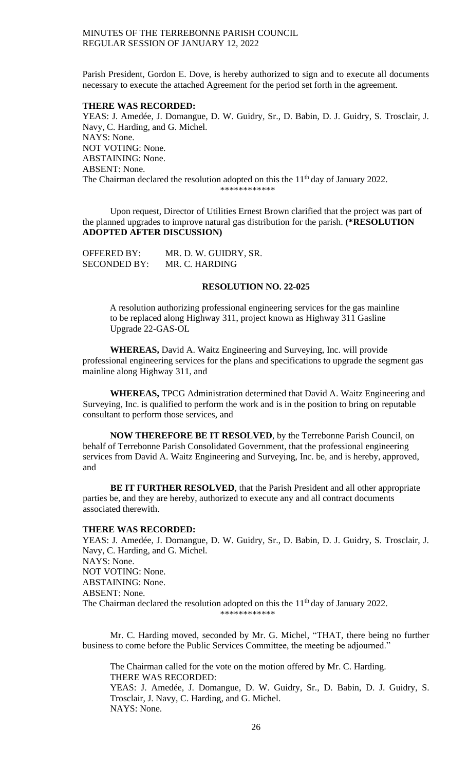Parish President, Gordon E. Dove, is hereby authorized to sign and to execute all documents necessary to execute the attached Agreement for the period set forth in the agreement.

#### **THERE WAS RECORDED:**

YEAS: J. Amedée, J. Domangue, D. W. Guidry, Sr., D. Babin, D. J. Guidry, S. Trosclair, J. Navy, C. Harding, and G. Michel. NAYS: None. NOT VOTING: None. ABSTAINING: None. ABSENT: None. The Chairman declared the resolution adopted on this the  $11<sup>th</sup>$  day of January 2022. \*\*\*\*\*\*\*\*\*\*\*

Upon request, Director of Utilities Ernest Brown clarified that the project was part of the planned upgrades to improve natural gas distribution for the parish. **(\*RESOLUTION ADOPTED AFTER DISCUSSION)**

| <b>OFFERED BY:</b>  | MR. D. W. GUIDRY, SR. |
|---------------------|-----------------------|
| <b>SECONDED BY:</b> | MR. C. HARDING        |

### **RESOLUTION NO. 22-025**

A resolution authorizing professional engineering services for the gas mainline to be replaced along Highway 311, project known as Highway 311 Gasline Upgrade 22-GAS-OL

**WHEREAS,** David A. Waitz Engineering and Surveying, Inc. will provide professional engineering services for the plans and specifications to upgrade the segment gas mainline along Highway 311, and

**WHEREAS,** TPCG Administration determined that David A. Waitz Engineering and Surveying, Inc. is qualified to perform the work and is in the position to bring on reputable consultant to perform those services, and

**NOW THEREFORE BE IT RESOLVED**, by the Terrebonne Parish Council, on behalf of Terrebonne Parish Consolidated Government, that the professional engineering services from David A. Waitz Engineering and Surveying, Inc. be, and is hereby, approved, and

**BE IT FURTHER RESOLVED**, that the Parish President and all other appropriate parties be, and they are hereby, authorized to execute any and all contract documents associated therewith.

#### **THERE WAS RECORDED:**

YEAS: J. Amedée, J. Domangue, D. W. Guidry, Sr., D. Babin, D. J. Guidry, S. Trosclair, J. Navy, C. Harding, and G. Michel. NAYS: None. NOT VOTING: None. ABSTAINING: None. ABSENT: None. The Chairman declared the resolution adopted on this the  $11<sup>th</sup>$  day of January 2022. \*\*\*\*\*\*\*\*\*\*\*\*

Mr. C. Harding moved, seconded by Mr. G. Michel, "THAT, there being no further business to come before the Public Services Committee, the meeting be adjourned."

The Chairman called for the vote on the motion offered by Mr. C. Harding. THERE WAS RECORDED:

YEAS: J. Amedée, J. Domangue, D. W. Guidry, Sr., D. Babin, D. J. Guidry, S. Trosclair, J. Navy, C. Harding, and G. Michel. NAYS: None.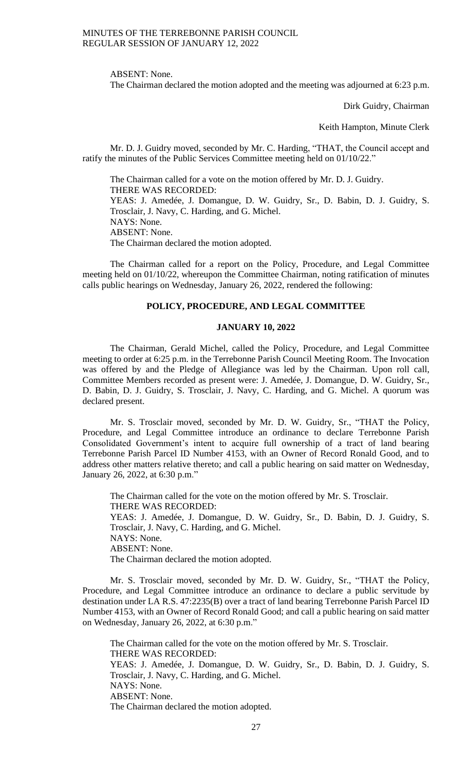ABSENT: None.

The Chairman declared the motion adopted and the meeting was adjourned at 6:23 p.m.

Dirk Guidry, Chairman

Keith Hampton, Minute Clerk

Mr. D. J. Guidry moved, seconded by Mr. C. Harding, "THAT, the Council accept and ratify the minutes of the Public Services Committee meeting held on 01/10/22."

The Chairman called for a vote on the motion offered by Mr. D. J. Guidry. THERE WAS RECORDED: YEAS: J. Amedée, J. Domangue, D. W. Guidry, Sr., D. Babin, D. J. Guidry, S. Trosclair, J. Navy, C. Harding, and G. Michel. NAYS: None. ABSENT: None. The Chairman declared the motion adopted.

The Chairman called for a report on the Policy, Procedure, and Legal Committee meeting held on 01/10/22, whereupon the Committee Chairman, noting ratification of minutes calls public hearings on Wednesday, January 26, 2022, rendered the following:

## **POLICY, PROCEDURE, AND LEGAL COMMITTEE**

## **JANUARY 10, 2022**

The Chairman, Gerald Michel, called the Policy, Procedure, and Legal Committee meeting to order at 6:25 p.m. in the Terrebonne Parish Council Meeting Room. The Invocation was offered by and the Pledge of Allegiance was led by the Chairman. Upon roll call, Committee Members recorded as present were: J. Amedée, J. Domangue, D. W. Guidry, Sr., D. Babin, D. J. Guidry, S. Trosclair, J. Navy, C. Harding, and G. Michel. A quorum was declared present.

Mr. S. Trosclair moved, seconded by Mr. D. W. Guidry, Sr., "THAT the Policy, Procedure, and Legal Committee introduce an ordinance to declare Terrebonne Parish Consolidated Government's intent to acquire full ownership of a tract of land bearing Terrebonne Parish Parcel ID Number 4153, with an Owner of Record Ronald Good, and to address other matters relative thereto; and call a public hearing on said matter on Wednesday, January 26, 2022, at 6:30 p.m."

The Chairman called for the vote on the motion offered by Mr. S. Trosclair. THERE WAS RECORDED: YEAS: J. Amedée, J. Domangue, D. W. Guidry, Sr., D. Babin, D. J. Guidry, S. Trosclair, J. Navy, C. Harding, and G. Michel. NAYS: None. ABSENT: None. The Chairman declared the motion adopted.

Mr. S. Trosclair moved, seconded by Mr. D. W. Guidry, Sr., "THAT the Policy, Procedure, and Legal Committee introduce an ordinance to declare a public servitude by destination under LA R.S. 47:2235(B) over a tract of land bearing Terrebonne Parish Parcel ID Number 4153, with an Owner of Record Ronald Good; and call a public hearing on said matter on Wednesday, January 26, 2022, at 6:30 p.m."

The Chairman called for the vote on the motion offered by Mr. S. Trosclair. THERE WAS RECORDED: YEAS: J. Amedée, J. Domangue, D. W. Guidry, Sr., D. Babin, D. J. Guidry, S. Trosclair, J. Navy, C. Harding, and G. Michel. NAYS: None. ABSENT: None. The Chairman declared the motion adopted.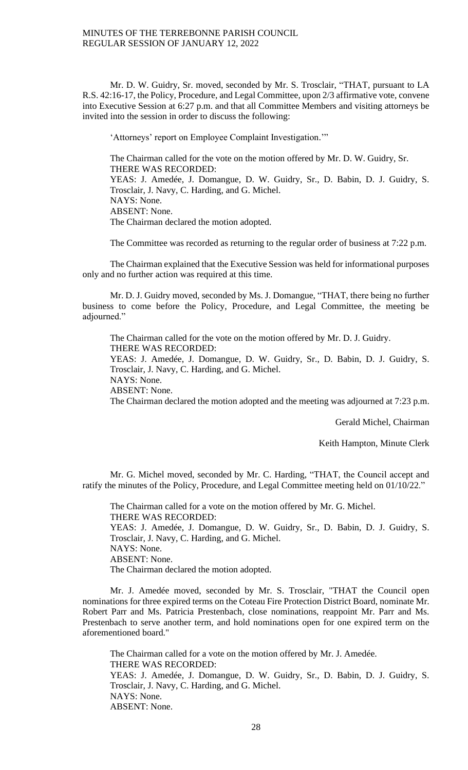Mr. D. W. Guidry, Sr. moved, seconded by Mr. S. Trosclair, "THAT, pursuant to LA R.S. 42:16-17, the Policy, Procedure, and Legal Committee, upon 2/3 affirmative vote, convene into Executive Session at 6:27 p.m. and that all Committee Members and visiting attorneys be invited into the session in order to discuss the following:

'Attorneys' report on Employee Complaint Investigation.'"

The Chairman called for the vote on the motion offered by Mr. D. W. Guidry, Sr. THERE WAS RECORDED: YEAS: J. Amedée, J. Domangue, D. W. Guidry, Sr., D. Babin, D. J. Guidry, S. Trosclair, J. Navy, C. Harding, and G. Michel. NAYS: None. ABSENT: None. The Chairman declared the motion adopted.

The Committee was recorded as returning to the regular order of business at 7:22 p.m.

The Chairman explained that the Executive Session was held for informational purposes only and no further action was required at this time.

Mr. D. J. Guidry moved, seconded by Ms. J. Domangue, "THAT, there being no further business to come before the Policy, Procedure, and Legal Committee, the meeting be adjourned."

The Chairman called for the vote on the motion offered by Mr. D. J. Guidry. THERE WAS RECORDED:

YEAS: J. Amedée, J. Domangue, D. W. Guidry, Sr., D. Babin, D. J. Guidry, S. Trosclair, J. Navy, C. Harding, and G. Michel.

NAYS: None.

ABSENT: None.

The Chairman declared the motion adopted and the meeting was adjourned at 7:23 p.m.

Gerald Michel, Chairman

Keith Hampton, Minute Clerk

Mr. G. Michel moved, seconded by Mr. C. Harding, "THAT, the Council accept and ratify the minutes of the Policy, Procedure, and Legal Committee meeting held on 01/10/22."

The Chairman called for a vote on the motion offered by Mr. G. Michel. THERE WAS RECORDED: YEAS: J. Amedée, J. Domangue, D. W. Guidry, Sr., D. Babin, D. J. Guidry, S. Trosclair, J. Navy, C. Harding, and G. Michel. NAYS: None. ABSENT: None. The Chairman declared the motion adopted.

Mr. J. Amedée moved, seconded by Mr. S. Trosclair, "THAT the Council open nominations for three expired terms on the Coteau Fire Protection District Board, nominate Mr. Robert Parr and Ms. Patricia Prestenbach, close nominations, reappoint Mr. Parr and Ms. Prestenbach to serve another term, and hold nominations open for one expired term on the aforementioned board."

The Chairman called for a vote on the motion offered by Mr. J. Amedée. THERE WAS RECORDED: YEAS: J. Amedée, J. Domangue, D. W. Guidry, Sr., D. Babin, D. J. Guidry, S. Trosclair, J. Navy, C. Harding, and G. Michel. NAYS: None. ABSENT: None.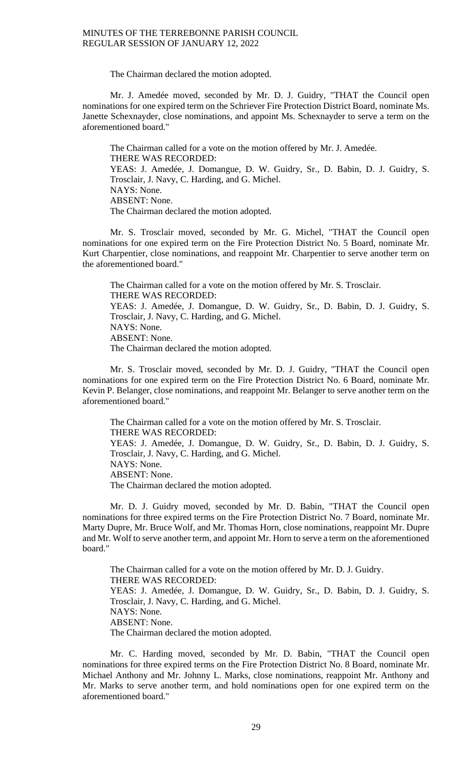The Chairman declared the motion adopted.

Mr. J. Amedée moved, seconded by Mr. D. J. Guidry, "THAT the Council open nominations for one expired term on the Schriever Fire Protection District Board, nominate Ms. Janette Schexnayder, close nominations, and appoint Ms. Schexnayder to serve a term on the aforementioned board."

The Chairman called for a vote on the motion offered by Mr. J. Amedée. THERE WAS RECORDED: YEAS: J. Amedée, J. Domangue, D. W. Guidry, Sr., D. Babin, D. J. Guidry, S. Trosclair, J. Navy, C. Harding, and G. Michel. NAYS: None. ABSENT: None. The Chairman declared the motion adopted.

Mr. S. Trosclair moved, seconded by Mr. G. Michel, "THAT the Council open nominations for one expired term on the Fire Protection District No. 5 Board, nominate Mr. Kurt Charpentier, close nominations, and reappoint Mr. Charpentier to serve another term on the aforementioned board."

The Chairman called for a vote on the motion offered by Mr. S. Trosclair. THERE WAS RECORDED: YEAS: J. Amedée, J. Domangue, D. W. Guidry, Sr., D. Babin, D. J. Guidry, S. Trosclair, J. Navy, C. Harding, and G. Michel. NAYS: None. ABSENT: None. The Chairman declared the motion adopted.

Mr. S. Trosclair moved, seconded by Mr. D. J. Guidry, "THAT the Council open nominations for one expired term on the Fire Protection District No. 6 Board, nominate Mr. Kevin P. Belanger, close nominations, and reappoint Mr. Belanger to serve another term on the aforementioned board."

The Chairman called for a vote on the motion offered by Mr. S. Trosclair. THERE WAS RECORDED: YEAS: J. Amedée, J. Domangue, D. W. Guidry, Sr., D. Babin, D. J. Guidry, S. Trosclair, J. Navy, C. Harding, and G. Michel. NAYS: None. ABSENT: None. The Chairman declared the motion adopted.

Mr. D. J. Guidry moved, seconded by Mr. D. Babin, "THAT the Council open nominations for three expired terms on the Fire Protection District No. 7 Board, nominate Mr. Marty Dupre, Mr. Bruce Wolf, and Mr. Thomas Horn, close nominations, reappoint Mr. Dupre and Mr. Wolf to serve another term, and appoint Mr. Horn to serve a term on the aforementioned board."

The Chairman called for a vote on the motion offered by Mr. D. J. Guidry. THERE WAS RECORDED: YEAS: J. Amedée, J. Domangue, D. W. Guidry, Sr., D. Babin, D. J. Guidry, S. Trosclair, J. Navy, C. Harding, and G. Michel. NAYS: None. ABSENT: None. The Chairman declared the motion adopted.

Mr. C. Harding moved, seconded by Mr. D. Babin, "THAT the Council open nominations for three expired terms on the Fire Protection District No. 8 Board, nominate Mr. Michael Anthony and Mr. Johnny L. Marks, close nominations, reappoint Mr. Anthony and Mr. Marks to serve another term, and hold nominations open for one expired term on the aforementioned board."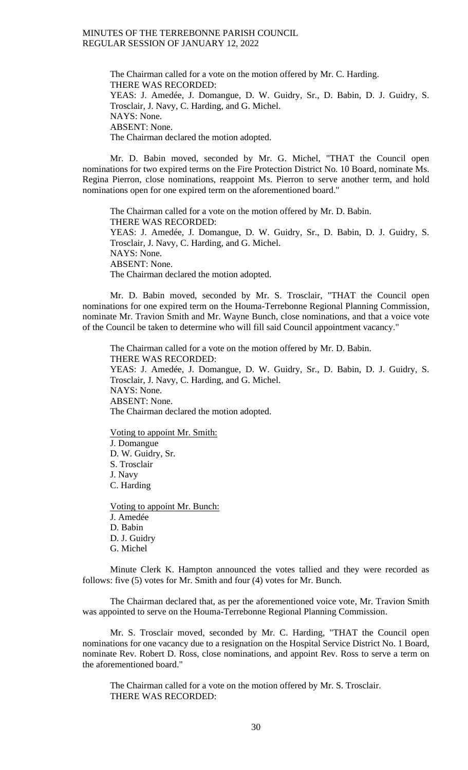The Chairman called for a vote on the motion offered by Mr. C. Harding. THERE WAS RECORDED: YEAS: J. Amedée, J. Domangue, D. W. Guidry, Sr., D. Babin, D. J. Guidry, S. Trosclair, J. Navy, C. Harding, and G. Michel. NAYS: None. ABSENT: None. The Chairman declared the motion adopted.

Mr. D. Babin moved, seconded by Mr. G. Michel, "THAT the Council open nominations for two expired terms on the Fire Protection District No. 10 Board, nominate Ms. Regina Pierron, close nominations, reappoint Ms. Pierron to serve another term, and hold nominations open for one expired term on the aforementioned board."

The Chairman called for a vote on the motion offered by Mr. D. Babin. THERE WAS RECORDED: YEAS: J. Amedée, J. Domangue, D. W. Guidry, Sr., D. Babin, D. J. Guidry, S. Trosclair, J. Navy, C. Harding, and G. Michel. NAYS: None. ABSENT: None. The Chairman declared the motion adopted.

Mr. D. Babin moved, seconded by Mr. S. Trosclair, "THAT the Council open nominations for one expired term on the Houma-Terrebonne Regional Planning Commission, nominate Mr. Travion Smith and Mr. Wayne Bunch, close nominations, and that a voice vote of the Council be taken to determine who will fill said Council appointment vacancy."

The Chairman called for a vote on the motion offered by Mr. D. Babin. THERE WAS RECORDED: YEAS: J. Amedée, J. Domangue, D. W. Guidry, Sr., D. Babin, D. J. Guidry, S. Trosclair, J. Navy, C. Harding, and G. Michel. NAYS: None. ABSENT: None. The Chairman declared the motion adopted.

Voting to appoint Mr. Smith: J. Domangue D. W. Guidry, Sr. S. Trosclair J. Navy C. Harding

Voting to appoint Mr. Bunch: J. Amedée D. Babin D. J. Guidry G. Michel

Minute Clerk K. Hampton announced the votes tallied and they were recorded as follows: five (5) votes for Mr. Smith and four (4) votes for Mr. Bunch.

The Chairman declared that, as per the aforementioned voice vote, Mr. Travion Smith was appointed to serve on the Houma-Terrebonne Regional Planning Commission.

Mr. S. Trosclair moved, seconded by Mr. C. Harding, "THAT the Council open nominations for one vacancy due to a resignation on the Hospital Service District No. 1 Board, nominate Rev. Robert D. Ross, close nominations, and appoint Rev. Ross to serve a term on the aforementioned board."

The Chairman called for a vote on the motion offered by Mr. S. Trosclair. THERE WAS RECORDED: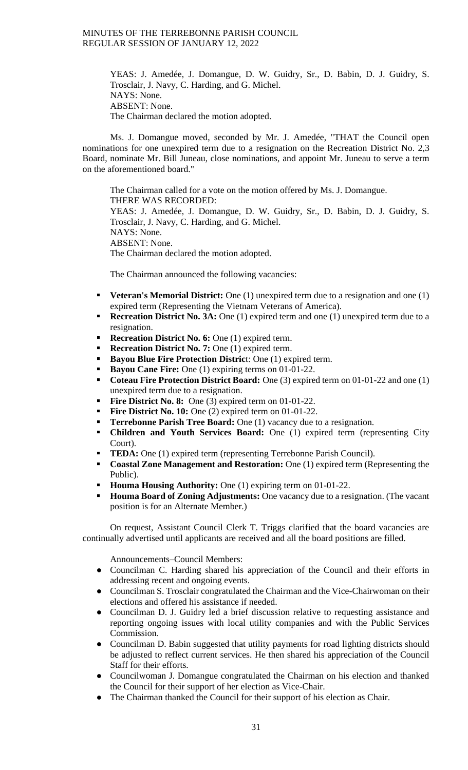> YEAS: J. Amedée, J. Domangue, D. W. Guidry, Sr., D. Babin, D. J. Guidry, S. Trosclair, J. Navy, C. Harding, and G. Michel. NAYS: None. ABSENT: None. The Chairman declared the motion adopted.

Ms. J. Domangue moved, seconded by Mr. J. Amedée, "THAT the Council open nominations for one unexpired term due to a resignation on the Recreation District No. 2,3 Board, nominate Mr. Bill Juneau, close nominations, and appoint Mr. Juneau to serve a term on the aforementioned board."

The Chairman called for a vote on the motion offered by Ms. J. Domangue. THERE WAS RECORDED: YEAS: J. Amedée, J. Domangue, D. W. Guidry, Sr., D. Babin, D. J. Guidry, S. Trosclair, J. Navy, C. Harding, and G. Michel. NAYS: None. ABSENT: None. The Chairman declared the motion adopted.

The Chairman announced the following vacancies:

- **Veteran's Memorial District:** One (1) unexpired term due to a resignation and one (1) expired term (Representing the Vietnam Veterans of America).
- **Recreation District No. 3A:** One (1) expired term and one (1) unexpired term due to a resignation.
- **Recreation District No. 6:** One (1) expired term.
- **Recreation District No. 7:** One (1) expired term.
- **Bayou Blue Fire Protection Distric**t: One (1) expired term.
- **Bayou Cane Fire:** One (1) expiring terms on 01-01-22.
- **Coteau Fire Protection District Board:** One (3) expired term on 01-01-22 and one (1) unexpired term due to a resignation.
- **Fire District No. 8:** One (3) expired term on 01-01-22.
- **Fire District No. 10:** One (2) expired term on 01-01-22.
- **Terrebonne Parish Tree Board:** One (1) vacancy due to a resignation.
- **Children and Youth Services Board:** One (1) expired term (representing City Court).
- **TEDA:** One (1) expired term (representing Terrebonne Parish Council).
- **Coastal Zone Management and Restoration:** One (1) expired term (Representing the Public).
- **Houma Housing Authority:** One (1) expiring term on 01-01-22.
- **Houma Board of Zoning Adjustments:** One vacancy due to a resignation. (The vacant position is for an Alternate Member.)

On request, Assistant Council Clerk T. Triggs clarified that the board vacancies are continually advertised until applicants are received and all the board positions are filled.

Announcements–Council Members:

- Councilman C. Harding shared his appreciation of the Council and their efforts in addressing recent and ongoing events.
- Councilman S. Trosclair congratulated the Chairman and the Vice-Chairwoman on their elections and offered his assistance if needed.
- Councilman D. J. Guidry led a brief discussion relative to requesting assistance and reporting ongoing issues with local utility companies and with the Public Services Commission.
- Councilman D. Babin suggested that utility payments for road lighting districts should be adjusted to reflect current services. He then shared his appreciation of the Council Staff for their efforts.
- Councilwoman J. Domangue congratulated the Chairman on his election and thanked the Council for their support of her election as Vice-Chair.
- The Chairman thanked the Council for their support of his election as Chair.